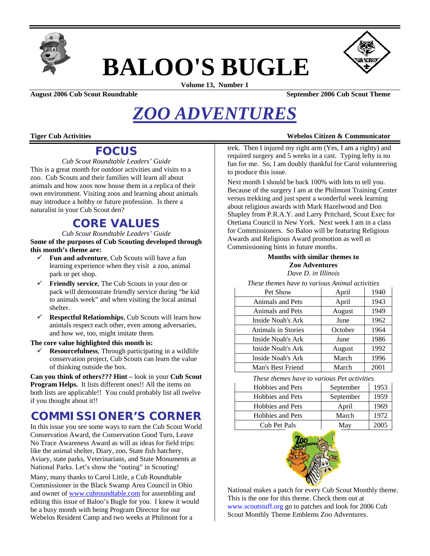

# **BALOO'S BUGLE**



**August 2006 Cub Scout Roundtable September 2006 Cub Scout Theme** 

**Volume 13, Number 1** 

# *ZOO ADVENTURES*

## **FOCUS**

*Cub Scout Roundtable Leaders' Guide*  This is a great month for outdoor activities and visits to a zoo. Cub Scouts and their families will learn all about animals and how zoos now house them in a replica of their own environment. Visiting zoos and learning about animals may introduce a hobby or future profession. Is there a naturalist in your Cub Scout den?

## **CORE VALUES**

*Cub Scout Roundtable Leaders' Guide* 

**Some of the purposes of Cub Scouting developed through this month's theme are:** 

- $\checkmark$  **Fun and adventure**. Cub Scouts will have a fun learning experience when they visit a zoo, animal park or pet shop.
- 9 **Friendly service**, The Cub Scouts in your den or pack will demonstrate friendly service during "be kid to animals week" and when visiting the local animal shelter.
- 9 **Respectful Relationships**, Cub Scouts will learn how animals respect each other, even among adversaries, and how we, too, might imitate them.

#### **The core value highlighted this month is:**

9 **Resourcefulness**, Through participating in a wildlife conservation project, Cub Scouts can learn the value of thinking outside the box.

**Can you think of others??? Hint –** look in your **Cub Scout Program Helps.** It lists different ones!! All the items on both lists are applicable!! You could probably list all twelve if you thought about it!!

## **COMMISSIONER'S CORNER**

In this issue you see some ways to earn the Cub Scout World Conservation Award, the Conservation Good Turn, Leave No Trace Awareness Award as will as ideas for field trips: like the animal shelter, Diary, zoo, State fish hatchery, Aviary, state parks, Veterinarians, and State Monuments at National Parks. Let's show the "outing" in Scouting!

Many, many thanks to Carol Little, a Cub Roundtable Commissioner in the Black Swamp Area Council in Ohio and owner of **www.cubroundtable.com** for assembling and editing this issue of Baloo's Bugle for you. I knew it would be a busy month with being Program Director for our Webelos Resident Camp and two weeks at Philmont for a

#### **Tiger Cub Activities Service State Activities Service State Activities Service Activities Service Activities** Service Activities Service Activities Service Activities Service Activities Service Activities Service Activiti

trek. Then I injured my right arm (Yes, I am a righty) and required surgery and 5 weeks in a cast. Typing lefty is no fun for me. So, I am doubly thankful for Carol volunteering to produce this issue.

Next month I should be back 100% with lots to tell you. Because of the surgery I am at the Philmont Training Center versus trekking and just spent a wonderful week learning about religious awards with Mark Hazelwood and Don Shapley from P.R.A.Y. and Larry Pritchard, Scout Exec for Otetiana Council in New York. Next week I am in a class for Commissioners. So Baloo will be featuring Religious Awards and Religious Award promotion as well as Commissioning hints in future months.

#### **Months with similar themes to Zoo Adventures**  *Dave D. in Illinois*

*These themes have to various Animal activities*  Pet Show April 1940 Animals and Pets | April | 1943 Animals and Pets | August | 1949 Inside Noah's Ark June 1962 Animals in Stories 10 October 1964 Inside Noah's Ark June 1986 Inside Noah's Ark | August | 1992 Inside Noah's Ark | March | 1996 Man's Best Friend March 2001

|  |  |  | These themes have to various Pet activities |  |
|--|--|--|---------------------------------------------|--|
|  |  |  |                                             |  |

| <b>Hobbies and Pets</b> | September | 1953 |
|-------------------------|-----------|------|
| <b>Hobbies and Pets</b> | September | 1959 |
| Hobbies and Pets        | April     | 1969 |
| Hobbies and Pets        | March     | 1972 |
| Cub Pet Pals            | May       | 2005 |



National makes a patch for every Cub Scout Monthly theme. This is the one for this theme. Check them out at www.scoutstuff.org go to patches and look for 2006 Cub Scout Monthly Theme Emblems Zoo Adventures.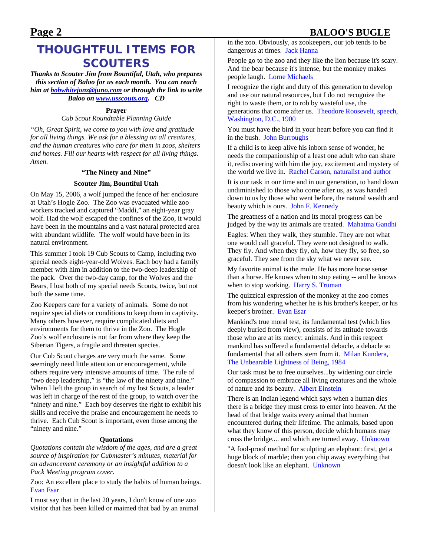## **THOUGHTFUL ITEMS FOR SCOUTERS**

*Thanks to Scouter Jim from Bountiful, Utah, who prepares this section of Baloo for us each month. You can reach him at [bobwhitejonz@juno.com](mailto:bobwhitejonz@juno.com) or through the link to write Baloo on [www.usscouts.org](http://www.usscouts.org/). CD* 

#### **Prayer**

*Cub Scout Roundtable Planning Guide* 

*"Oh, Great Spirit, we come to you with love and gratitude for all living things. We ask for a blessing on all creatures, and the human creatures who care for them in zoos, shelters and homes. Fill our hearts with respect for all living things. Amen.*

#### **"The Ninety and Nine"**

#### **Scouter Jim, Bountiful Utah**

On May 15, 2006, a wolf jumped the fence of her enclosure at Utah's Hogle Zoo. The Zoo was evacuated while zoo workers tracked and captured "Maddi," an eight-year gray wolf. Had the wolf escaped the confines of the Zoo, it would have been in the mountains and a vast natural protected area with abundant wildlife. The wolf would have been in its natural environment.

This summer I took 19 Cub Scouts to Camp, including two special needs eight-year-old Wolves. Each boy had a family member with him in addition to the two-deep leadership of the pack. Over the two-day camp, for the Wolves and the Bears, I lost both of my special needs Scouts, twice, but not both the same time.

Zoo Keepers care for a variety of animals. Some do not require special diets or conditions to keep them in captivity. Many others however, require complicated diets and environments for them to thrive in the Zoo. The Hogle Zoo's wolf enclosure is not far from where they keep the Siberian Tigers, a fragile and threaten species.

Our Cub Scout charges are very much the same. Some seemingly need little attention or encouragement, while others require very intensive amounts of time. The rule of "two deep leadership," is "the law of the ninety and nine." When I left the group in search of my lost Scouts, a leader was left in charge of the rest of the group, to watch over the "ninety and nine." Each boy deserves the right to exhibit his skills and receive the praise and encouragement he needs to thrive. Each Cub Scout is important, even those among the "ninety and nine."

#### **Quotations**

*Quotations contain the wisdom of the ages, and are a great source of inspiration for Cubmaster's minutes, material for an advancement ceremony or an insightful addition to a Pack Meeting program cover.* 

Zoo: An excellent place to study the habits of human beings. Evan Esar

I must say that in the last 20 years, I don't know of one zoo visitor that has been killed or maimed that bad by an animal in the zoo. Obviously, as zookeepers, our job tends to be dangerous at times. Jack Hanna

People go to the zoo and they like the lion because it's scary. And the bear because it's intense, but the monkey makes people laugh. Lorne Michaels

I recognize the right and duty of this generation to develop and use our natural resources, but I do not recognize the right to waste them, or to rob by wasteful use, the generations that come after us. Theodore Roosevelt, speech, Washington, D.C., 1900

You must have the bird in your heart before you can find it in the bush. John Burroughs

If a child is to keep alive his inborn sense of wonder, he needs the companionship of a least one adult who can share it, rediscovering with him the joy, excitement and mystery of the world we live in. Rachel Carson, naturalist and author

It is our task in our time and in our generation, to hand down undiminished to those who come after us, as was handed down to us by those who went before, the natural wealth and beauty which is ours. John F. Kennedy

The greatness of a nation and its moral progress can be judged by the way its animals are treated. Mahatma Gandhi

Eagles: When they walk, they stumble. They are not what one would call graceful. They were not designed to walk. They fly. And when they fly, oh, how they fly, so free, so graceful. They see from the sky what we never see.

My favorite animal is the mule. He has more horse sense than a horse. He knows when to stop eating -- and he knows when to stop working. Harry S. Truman

The quizzical expression of the monkey at the zoo comes from his wondering whether he is his brother's keeper, or his keeper's brother. Evan Esar

Mankind's true moral test, its fundamental test (which lies deeply buried from view), consists of its attitude towards those who are at its mercy: animals. And in this respect mankind has suffered a fundamental debacle, a debacle so fundamental that all others stem from it. Milan Kundera, The Unbearable Lightness of Being, 1984

Our task must be to free ourselves...by widening our circle of compassion to embrace all living creatures and the whole of nature and its beauty. Albert Einstein

There is an Indian legend which says when a human dies there is a bridge they must cross to enter into heaven. At the head of that bridge waits every animal that human encountered during their lifetime. The animals, based upon what they know of this person, decide which humans may cross the bridge.... and which are turned away. Unknown

"A fool-proof method for sculpting an elephant: first, get a huge block of marble; then you chip away everything that doesn't look like an elephant. Unknown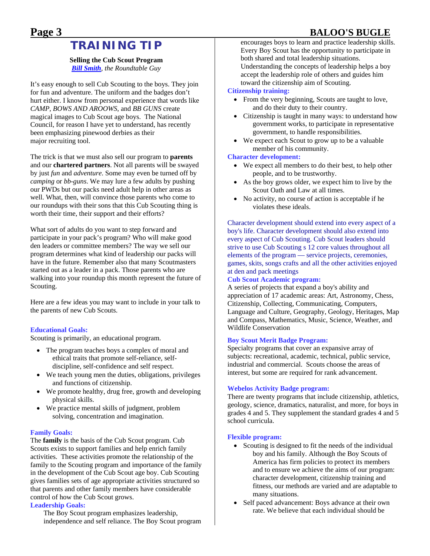## **Page 3** BALOO'S BUGLE

## **TRAINING TIP**

#### **Selling the Cub Scout Program** *Bill Smith, the Roundtable Guy*

It's easy enough to sell Cub Scouting to the boys. They join for fun and adventure. The uniform and the badges don't hurt either. I know from personal experience that words like *CAMP, BOWS AND AROOWS*, and *BB GUNS* create magical images to Cub Scout age boys. The National Council, for reason I have yet to understand, has recently been emphasizing pinewood derbies as their major recruiting tool.

The trick is that we must also sell our program to **parents** and our **chartered partners**. Not all parents will be swayed by just *fun* and *adventure*. Some may even be turned off by *camping* or *bb-guns*. We may lure a few adults by pushing our PWDs but our packs need adult help in other areas as well. What, then, will convince those parents who come to our roundups with their sons that this Cub Scouting thing is worth their time, their support and their efforts?

What sort of adults do you want to step forward and participate in your pack's program? Who will make good den leaders or committee members? The way we sell our program determines what kind of leadership our packs will have in the future. Remember also that many Scoutmasters started out as a leader in a pack. Those parents who are walking into your roundup this month represent the future of Scouting.

Here are a few ideas you may want to include in your talk to the parents of new Cub Scouts.

**Educational Goals:** Scouting is primarily, an educational program.

- The program teaches boys a complex of moral and ethical traits that promote self-reliance, selfdiscipline, self-confidence and self respect.
- We teach young men the duties, obligations, privileges and functions of citizenship.
- We promote healthy, drug free, growth and developing physical skills.
- We practice mental skills of judgment, problem solving, concentration and imagination.

#### **Family Goals:**

The **family** is the basis of the Cub Scout program. Cub Scouts exists to support families and help enrich family activities. These activities promote the relationship of the family to the Scouting program and importance of the family in the development of the Cub Scout age boy. Cub Scouting gives families sets of age appropriate activities structured so that parents and other family members have considerable control of how the Cub Scout grows. **Leadership Goals:** 

The Boy Scout program emphasizes leadership, independence and self reliance. The Boy Scout program encourages boys to learn and practice leadership skills. Every Boy Scout has the opportunity to participate in both shared and total leadership situations. Understanding the concepts of leadership helps a boy accept the leadership role of others and guides him toward the citizenship aim of Scouting.

#### **Citizenship training:**

- From the very beginning, Scouts are taught to love, and do their duty to their country.
- Citizenship is taught in many ways: to understand how government works, to participate in representative government, to handle responsibilities.
- We expect each Scout to grow up to be a valuable member of his community.

#### **Character development:**

- We expect all members to do their best, to help other people, and to be trustworthy.
- As the boy grows older, we expect him to live by the Scout Oath and Law at all times.
- No activity, no course of action is acceptable if he violates these ideals.

Character development should extend into every aspect of a boy's life. Character development should also extend into every aspect of Cub Scouting. Cub Scout leaders should strive to use Cub Scouting s 12 core values throughout all elements of the program — service projects, ceremonies, games, skits, songs crafts and all the other activities enjoyed at den and pack meetings

#### **Cub Scout Academic program:**

A series of projects that expand a boy's ability and appreciation of 17 academic areas: Art, Astronomy, Chess, Citizenship, Collecting, Communicating, Computers, Language and Culture, Geography, Geology, Heritages, Map and Compass, Mathematics, Music, Science, Weather, and Wildlife Conservation

#### **Boy Scout Merit Badge Program:**

Specialty programs that cover an expansive array of subjects: recreational, academic, technical, public service, industrial and commercial. Scouts choose the areas of interest, but some are required for rank advancement.

#### **Webelos Activity Badge program:**

There are twenty programs that include citizenship, athletics, geology, science, dramatics, naturalist, and more, for boys in grades 4 and 5. They supplement the standard grades 4 and 5 school curricula.

#### **Flexible program:**

- Scouting is designed to fit the needs of the individual boy and his family. Although the Boy Scouts of America has firm policies to protect its members and to ensure we achieve the aims of our program: character development, citizenship training and fitness, our methods are varied and are adaptable to many situations.
- Self paced advancement: Boys advance at their own rate. We believe that each individual should be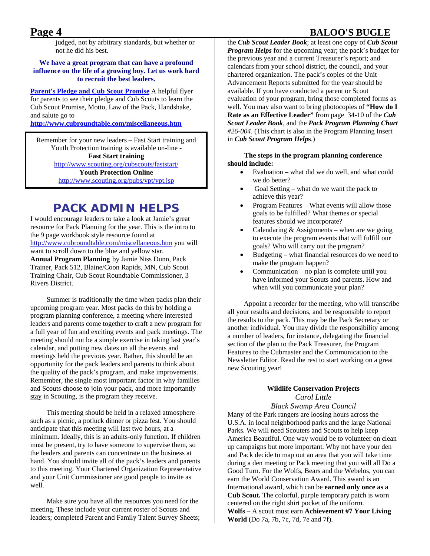## Page 4 BALOO'S BUGLE

judged, not by arbitrary standards, but whether or not he did his best.

#### **We have a great program that can have a profound influence on the life of a growing boy. Let us work hard to recruit the best leaders.**

**[Parent's Pledge and Cub Scout Promise](http://www.cubroundtable.com/assets/pdf-documents/Parent-Pledge-and-Cub-Scout-Promise.pdf)** A helpful flyer for parents to see their pledge and Cub Scouts to learn the Cub Scout Promise, Motto, Law of the Pack, Handshake, and salute go to

**<http://www.cubroundtable.com/miscellaneous.htm>**

Remember for your new leaders – Fast Start training and Youth Protection training is available on-line - **Fast Start training** <http://www.scouting.org/cubscouts/faststart/> **Youth Protection Online**

<http://www.scouting.org/pubs/ypt/ypt.jsp>

## **PACK ADMIN HELPS**

I would encourage leaders to take a look at Jamie's great resource for Pack Planning for the year. This is the intro to the 9 page workbook style resource found at <http://www.cubroundtable.com/miscellaneous.htm>you will want to scroll down to the blue and yellow star. **Annual Program Planning** by Jamie Niss Dunn, Pack Trainer, Pack 512, Blaine/Coon Rapids, MN, Cub Scout Training Chair, Cub Scout Roundtable Commissioner, 3 Rivers District.

Summer is traditionally the time when packs plan their upcoming program year. Most packs do this by holding a program planning conference, a meeting where interested leaders and parents come together to craft a new program for a full year of fun and exciting events and pack meetings. The meeting should not be a simple exercise in taking last year's calendar, and putting new dates on all the events and meetings held the previous year. Rather, this should be an opportunity for the pack leaders and parents to think about the quality of the pack's program, and make improvements. Remember, the single most important factor in why families and Scouts choose to join your pack, and more importantly stay in Scouting, is the program they receive.

This meeting should be held in a relaxed atmosphere – such as a picnic, a potluck dinner or pizza fest. You should anticipate that this meeting will last two hours, at a minimum. Ideally, this is an adults-only function. If children must be present, try to have someone to supervise them, so the leaders and parents can concentrate on the business at hand. You should invite all of the pack's leaders and parents to this meeting. Your Chartered Organization Representative and your Unit Commissioner are good people to invite as well.

Make sure you have all the resources you need for the meeting. These include your current roster of Scouts and leaders; completed Parent and Family Talent Survey Sheets;

the *Cub Scout Leader Book*; at least one copy of *Cub Scout Program Helps* for the upcoming year; the pack's budget for the previous year and a current Treasurer's report; and calendars from your school district, the council, and your chartered organization. The pack's copies of the Unit Advancement Reports submitted for the year should be available. If you have conducted a parent or Scout evaluation of your program, bring those completed forms as well. You may also want to bring photocopies of **"How do I Rate as an Effective Leader"** from page 34-10 of the *Cub Scout Leader Book*, and the *Pack Program Planning Chart #26-004*. (This chart is also in the Program Planning Insert in *Cub Scout Program Help***s**.)

**The steps in the program planning conference should include:** 

- Evaluation what did we do well, and what could we do better?
- Goal Setting what do we want the pack to achieve this year?
- Program Features What events will allow those goals to be fulfilled? What themes or special features should we incorporate?
- Calendaring  $&$  Assignments when are we going to execute the program events that will fulfill our goals? Who will carry out the program?
- Budgeting what financial resources do we need to make the program happen?
- Communication no plan is complete until you have informed your Scouts and parents. How and when will you communicate your plan?

Appoint a recorder for the meeting, who will transcribe all your results and decisions, and be responsible to report the results to the pack. This may be the Pack Secretary or another individual. You may divide the responsibility among a number of leaders, for instance, delegating the financial section of the plan to the Pack Treasurer, the Program Features to the Cubmaster and the Communication to the Newsletter Editor. Read the rest to start working on a great new Scouting year!

#### **Wildlife Conservation Projects**  *Carol Little*

#### *Black Swamp Area Council*

Many of the Park rangers are loosing hours across the U.S.A. in local neighborhood parks and the large National Parks. We will need Scouters and Scouts to help keep America Beautiful. One way would be to volunteer on clean up campaigns but more important. Why not have your den and Pack decide to map out an area that you will take time during a den meeting or Pack meeting that you will all Do a Good Turn. For the Wolfs, Bears and the Webelos, you can earn the World Conservation Award. This award is an International award, which can be **earned only once as a Cub Scout.** The colorful, purple temporary patch is worn centered on the right shirt pocket of the uniform. **Wolfs** – A scout must earn **Achievement #7 Your Living World** (Do 7a, 7b, 7c, 7d, 7e and 7f).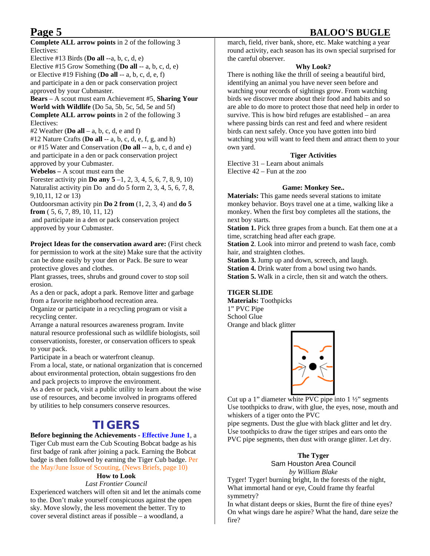## **Page 5** BALOO'S BUGLE

**Complete ALL arrow points** in 2 of the following 3 Electives: Elective #13 Birds (**Do all** --a, b, c, d, e) Elective #15 Grow Something (**Do all** -- a, b, c, d, e) or Elective #19 Fishing (**Do all** -- a, b, c, d, e, f) and participate in a den or pack conservation project approved by your Cubmaster. **Bears** – A scout must earn Achievement #5, **Sharing Your World with Wildlife** (Do 5a, 5b, 5c, 5d, 5e and 5f) **Complete ALL arrow points** in 2 of the following 3 Electives:  $#2$  Weather (**Do all** – a, b, c, d, e and f) #12 Nature Crafts (**Do all** -- a, b, c, d, e, f, g, and h)

or #15 Water and Conservation (**Do all** -- a, b, c, d and e) and participate in a den or pack conservation project approved by your Cubmaster.

#### **Webelos –** A scout must earn the

Forester activity pin **Do any 5** –1, 2, 3, 4, 5, 6, 7, 8, 9, 10) Naturalist activity pin Do and do 5 form 2, 3, 4, 5, 6, 7, 8, 9,10,11, 12 or 13)

Outdoorsman activity pin **Do 2 from** (1, 2, 3, 4) and **do 5 from** ( 5, 6, 7, 89, 10, 11, 12)

 and participate in a den or pack conservation project approved by your Cubmaster.

**Project Ideas for the conservation award are:** (First check for permission to work at the site) Make sure that the activity can be done easily by your den or Pack. Be sure to wear protective gloves and clothes.

Plant grasses, trees, shrubs and ground cover to stop soil erosion.

As a den or pack, adopt a park. Remove litter and garbage from a favorite neighborhood recreation area.

Organize or participate in a recycling program or visit a recycling center.

Arrange a natural resources awareness program. Invite natural resource professional such as wildlife biologists, soil conservationists, forester, or conservation officers to speak to your pack.

Participate in a beach or waterfront cleanup.

From a local, state, or national organization that is concerned about environmental protection, obtain suggestions fro den and pack projects to improve the environment.

As a den or pack, visit a public utility to learn about the wise use of resources, and become involved in programs offered by utilities to help consumers conserve resources.

## **TIGERS**

#### **Before beginning the Achievements - Effective June 1**, a

Tiger Cub must earn the Cub Scouting Bobcat badge as his first badge of rank after joining a pack. Earning the Bobcat badge is then followed by earning the Tiger Cub badge. Per the May/June Issue of Scouting, (News Briefs, page 10)

### **How to Look**

*Last Frontier Council* 

Experienced watchers will often sit and let the animals come to the. Don't make yourself conspicuous against the open sky. Move slowly, the less movement the better. Try to cover several distinct areas if possible – a woodland, a

march, field, river bank, shore, etc. Make watching a year round activity, each season has its own special surprised for the careful observer.

#### **Why Look?**

There is nothing like the thrill of seeing a beautiful bird, identifying an animal you have never seen before and watching your records of sightings grow. From watching birds we discover more about their food and habits and so are able to do more to protect those that need help in order to survive. This is how bird refuges are established – an area where passing birds can rest and feed and where resident birds can next safely. Once you have gotten into bird watching you will want to feed them and attract them to your own yard.

#### **Tiger Activities**

Elective 31 – Learn about animals Elective  $42 - \text{Fun}$  at the zoo

#### **Game: Monkey See..**

**Materials:** This game needs several stations to imitate monkey behavior. Boys travel one at a time, walking like a monkey. When the first boy completes all the stations, the next boy starts.

**Station 1.** Pick three grapes from a bunch. Eat them one at a time, scratching head after each grape.

**Station 2**. Look into mirror and pretend to wash face, comb hair, and straighten clothes.

**Station 3.** Jump up and down, screech, and laugh. **Station 4.** Drink water from a bowl using two hands. **Station 5.** Walk in a circle, then sit and watch the others.

### **TIGER SLIDE**

**Materials:** Toothpicks 1" PVC Pipe School Glue Orange and black glitter



Cut up a 1" diameter white PVC pipe into  $1\frac{1}{2}$ " segments Use toothpicks to draw, with glue, the eyes, nose, mouth and whiskers of a tiger onto the PVC

pipe segments. Dust the glue with black glitter and let dry. Use toothpicks to draw the tiger stripes and ears onto the PVC pipe segments, then dust with orange glitter. Let dry.

### **The Tyger**

Sam Houston Area Council *by William Blake* 

Tyger! Tyger! burning bright, In the forests of the night, What immortal hand or eye, Could frame thy fearful symmetry?

In what distant deeps or skies, Burnt the fire of thine eyes? On what wings dare he aspire? What the hand, dare seize the fire?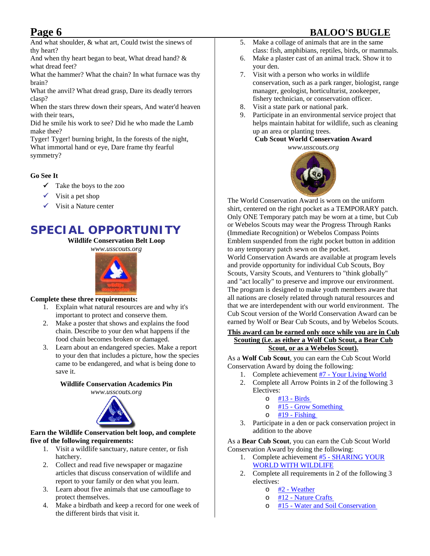## **Page 6** BALOO'S BUGLE

And what shoulder, & what art, Could twist the sinews of thy heart?

And when thy heart began to beat, What dread hand? & what dread feet?

What the hammer? What the chain? In what furnace was thy brain?

What the anvil? What dread grasp, Dare its deadly terrors clasp?

When the stars threw down their spears, And water'd heaven with their tears,

Did he smile his work to see? Did he who made the Lamb make thee?

Tyger! Tyger! burning bright, In the forests of the night, What immortal hand or eye, Dare frame thy fearful symmetry?

### **Go See It**

- $\checkmark$  Take the boys to the zoo
- $\checkmark$  Visit a pet shop
- $\checkmark$  Visit a Nature center

## **SPECIAL OPPORTUNITY**

#### **Wildlife Conservation Belt Loop**





#### **Complete these three requirements:**

- 1. Explain what natural resources are and why it's important to protect and conserve them.
- 2. Make a poster that shows and explains the food chain. Describe to your den what happens if the food chain becomes broken or damaged.
- 3. Learn about an endangered species. Make a report to your den that includes a picture, how the species came to be endangered, and what is being done to save it.

### **Wildlife Conservation Academics Pin**





#### **Earn the Wildlife Conservation belt loop, and complete five of the following requirements:**

- 1. Visit a wildlife sanctuary, nature center, or fish hatchery.
- 2. Collect and read five newspaper or magazine articles that discuss conservation of wildlife and report to your family or den what you learn.
- 3. Learn about five animals that use camouflage to protect themselves.
- 4. Make a birdbath and keep a record for one week of the different birds that visit it.
- 5. Make a collage of animals that are in the same class: fish, amphibians, reptiles, birds, or mammals.
- 6. Make a plaster cast of an animal track. Show it to your den.
- 7. Visit with a person who works in wildlife conservation, such as a park ranger, biologist, range manager, geologist, horticulturist, zookeeper, fishery technician, or conservation officer.
- 8. Visit a state park or national park.
- 9. Participate in an environmental service project that helps maintain habitat for wildlife, such as cleaning up an area or planting trees.

### **Cub Scout World Conservation Award**

*www.usscouts.org* 



The World Conservation Award is worn on the uniform shirt, centered on the right pocket as a TEMPORARY patch. Only ONE Temporary patch may be worn at a time, but Cub or Webelos Scouts may wear the Progress Through Ranks (Immediate Recognition) or Webelos Compass Points Emblem suspended from the right pocket button in addition to any temporary patch sewn on the pocket.

World Conservation Awards are available at program levels and provide opportunity for individual Cub Scouts, Boy Scouts, Varsity Scouts, and Venturers to "think globally" and "act locally" to preserve and improve our environment. The program is designed to make youth members aware that all nations are closely related through natural resources and that we are interdependent with our world environment. The Cub Scout version of the World Conservation Award can be earned by Wolf or Bear Cub Scouts, and by Webelos Scouts.

#### **This award can be earned only once while you are in Cub Scouting (i.e. as either a Wolf Cub Scout, a Bear Cub Scout, or as a Webelos Scout).**

As a **Wolf Cub Scout**, you can earn the Cub Scout World Conservation Award by doing the following:

- 1. Complete achievement [#7 Your Living World](http://usscouts.org/advance/cubscout/wolf.html#LIVINGWORLD)
- 2. Complete all Arrow Points in 2 of the following 3 Electives:
	- $\circ$  #13 Birds
	- o [#15 Grow Something](http://usscouts.org/advance/cubscout/wolfarrow.html#gardening)
	- $\overline{p}$  +19 Fishing
- 3. Participate in a den or pack conservation project in addition to the above

As a **Bear Cub Scout**, you can earn the Cub Scout World Conservation Award by doing the following:

- 1. Complete achievement [#5 SHARING YOUR](http://usscouts.org/advance/cubscout/bear.html#WILDLIFE)  [WORLD WITH WILDLIFE](http://usscouts.org/advance/cubscout/bear.html#WILDLIFE)
- 2. Complete all requirements in 2 of the following 3 electives:
	- $\circ$  [#2 Weather](http://usscouts.org/advance/cubscout/beararrow.html#WEATHER)
	- o [#12 Nature Crafts](http://usscouts.org/advance/cubscout/beararrow.html#NATURECRAFTS)
	- o [#15 Water and Soil Conservation](http://usscouts.org/advance/cubscout/beararrow.html#CONSERVATION)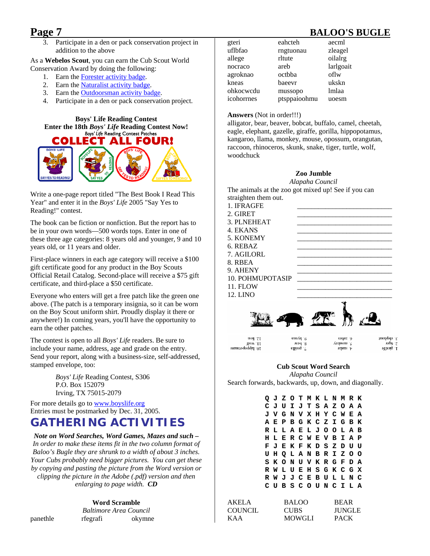- Page 7 BALOO'S BUGLE
	- Participate in a den or pack conservation project in addition to the above

As a **Webelos Scout**, you can earn the Cub Scout World Conservation Award by doing the following:

- 1. Earn the [Forester activity badge.](http://usscouts.org/advance/cubscout/outdoor.html#Forester)
- 2. Earn the [Naturalist activity badge.](http://usscouts.org/advance/cubscout/outdoor.html#Naturalist)
- 3. Earn the [Outdoorsman activity badge.](http://usscouts.org/advance/cubscout/outdoor.html#Outdoorsman)
- 4. Participate in a den or pack conservation project.

## **Boys' Life Reading Contest**  Enter the 18th *Boys' Life* Reading Contest Now!



Write a one-page report titled "The Best Book I Read This Year" and enter it in the *Boys' Life* 2005 "Say Yes to Reading!" contest.

The book can be fiction or nonfiction. But the report has to be in your own words—500 words tops. Enter in one of these three age categories: 8 years old and younger, 9 and 10 years old, or 11 years and older.

First-place winners in each age category will receive a \$100 gift certificate good for any product in the Boy Scouts Official Retail Catalog. Second-place will receive a \$75 gift certificate, and third-place a \$50 certificate.

Everyone who enters will get a free patch like the green one above. (The patch is a temporary insignia, so it can be worn on the Boy Scout uniform shirt. Proudly display it there or anywhere!) In coming years, you'll have the opportunity to earn the other patches.

The contest is open to all *Boys' Life* readers. Be sure to include your name, address, age and grade on the entry. Send your report, along with a business-size, self-addressed, stamped envelope, too:

> *Boys' Life* Reading Contest, S306 P.O. Box 152079 Irving, TX 75015-2079

For more details go to [www.boyslife.org](http://www.boyslife.org/) Entries must be postmarked by Dec. 31, 2005.

## **GATHERING ACTIVITIES**

*Note on Word Searches, Word Games, Mazes and such – In order to make these items fit in the two column format of Baloo's Bugle they are shrunk to a width of about 3 inches. Your Cubs probably need bigger pictures. You can get these by copying and pasting the picture from the Word version or clipping the picture in the Adobe (.pdf) version and then enlarging to page width. CD* 

### **Word Scramble**

*Baltimore Area Council*  rfegrafi okymne

| gteri      | eahcteh      | aecml     |
|------------|--------------|-----------|
| uflbfao    | rngtuonau    | zleagel   |
| allege     | rltute       | oilalrg   |
| nocraco    | areb         | larlgoait |
| agroknao   | octbba       | oflw      |
| kneas      | baeevr       | ukskn     |
| ohkocwcdu  | mussopo      | lmlaa     |
| icohorrnes | ptsppaioohmu | uoesm     |

#### **Answers** (Not in order!!!)

alligator, bear, beaver, bobcat, buffalo, camel, cheetah, eagle, elephant, gazelle, giraffe, gorilla, hippopotamus, kangaroo, llama, monkey, mouse, opossum, orangutan, raccoon, rhinoceros, skunk, snake, tiger, turtle, wolf, woodchuck

#### **Zoo Jumble**

*Alapaha Council*  The animals at the zoo got mixed up! See if you can straighten them out.



### **Cub Scout Word Search**

*Alapaha Council*  Search forwards, backwards, up, down, and diagonally.

|  |  |  |  |  | O J Z O T M K L N M R K |  |
|--|--|--|--|--|-------------------------|--|
|  |  |  |  |  | C J U I J T S A Z O A A |  |
|  |  |  |  |  | J V G N V X H Y C W E A |  |
|  |  |  |  |  | A E P B G K C Z I G B K |  |
|  |  |  |  |  | R L L A E L J O O L A B |  |
|  |  |  |  |  | H L E R C W E V B I A P |  |
|  |  |  |  |  | F J E K F K D S Z D U U |  |
|  |  |  |  |  | U H Q L A N B R I Z O O |  |
|  |  |  |  |  | S K O N U V K R G F D A |  |
|  |  |  |  |  | R W L U E H S G K C G X |  |
|  |  |  |  |  | R W J J C E B U L L N C |  |
|  |  |  |  |  | C U B S C O U N C I L A |  |

| AKELA   | <b>BALOO</b> | <b>BEAR</b> |
|---------|--------------|-------------|
| COUNCIL | <b>CUBS</b>  | JUNGLE      |
| KAA     | MOWGLI       | <b>PACK</b> |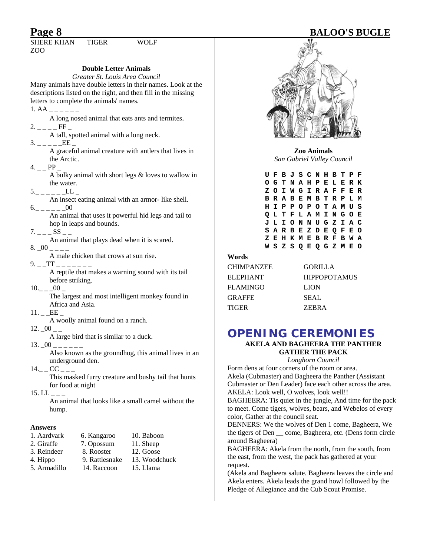SHERE KHAN TIGER WOLF ZOO

### **Double Letter Animals**

*Greater St. Louis Area Council* 

Many animals have double letters in their names. Look at the descriptions listed on the right, and then fill in the missing letters to complete the animals' names.

 $1. AA$  \_ \_ \_ \_ \_ \_

A long nosed animal that eats ants and termites.<br>2.  $_{\text{---}}$  – FF  $_{\text{---}}$ 

- - A tall, spotted animal with a long neck.
- $3. - - -$ <u>EE</u>

A graceful animal creature with antlers that lives in the Arctic.

 $4. - P$ PP  $-$ 

A bulky animal with short legs & loves to wallow in the water.

 $5.$   $_{---}$   $_{---}$   $_{LL}$   $_{-}$ 

An insect eating animal with an armor- like shell.

- $6.$   $00$ 
	- An animal that uses it powerful hid legs and tail to hop in leaps and bounds.
- $7. -$  SS  $-$

An animal that plays dead when it is scared.

8.  $00$ 

A male chicken that crows at sun rise.

 $9. -TT ----$ 

A reptile that makes a warning sound with its tail before striking.

 $10. - 00$ 

The largest and most intelligent monkey found in Africa and Asia.

 $11.$   $E$ =

A woolly animal found on a ranch.

 $12. 00$   $-$ 

A large bird that is similar to a duck.

13. 00

Also known as the groundhog, this animal lives in an underground den.

 $14.$   $\_$  CC  $_{---}$ 

This masked furry creature and bushy tail that hunts for food at night

15. LL  $_{---}$ 

An animal that looks like a small camel without the hump.

### **Answers**

| 1. Aardvark  | 6. Kangaroo    | 10. Baboon    |
|--------------|----------------|---------------|
| 2. Giraffe   | 7. Opossum     | 11. Sheep     |
| 3. Reindeer  | 8. Rooster     | 12. Goose     |
| 4. Hippo     | 9. Rattlesnake | 13. Woodchuck |
| 5. Armadillo | 14. Raccoon    | 15. Llama     |



**Zoo Animals**  *San Gabriel Valley Council* 

**U F B J S C N H B T P F O G T N A H P E L E R K Z O I W G I R A F F E R B R A B E M B T R P L M H I P P O P O T A M U S Q L T F L A M I N G O E J L I O N N U G Z I A C S A R B E Z D E Q F E O Z E H K M E B R F B W A W S Z S Q E Q G Z M E O** 

### **Words**

| CHIMPANZEE | <b>GORILLA</b>      |
|------------|---------------------|
| ELEPHANT   | <b>HIPPOPOTAMUS</b> |
| FLAMINGO   | <b>LION</b>         |
| GRAFFE     | SEAL                |
| TIGER      | <b>ZEBRA</b>        |

## **OPENING CEREMONIES**

#### **AKELA AND BAGHEERA THE PANTHER GATHER THE PACK**

*Longhorn Council* 

Form dens at four corners of the room or area. Akela (Cubmaster) and Bagheera the Panther (Assistant Cubmaster or Den Leader) face each other across the area. AKELA: Look well, O wolves, look well!!

BAGHEERA: Tis quiet in the jungle, And time for the pack to meet. Come tigers, wolves, bears, and Webelos of every color, Gather at the council seat.

DENNERS: We the wolves of Den 1 come, Bagheera, We the tigers of Den \_\_ come, Bagheera, etc. (Dens form circle around Bagheera)

BAGHEERA: Akela from the north, from the south, from the east, from the west, the pack has gathered at your request.

(Akela and Bagheera salute. Bagheera leaves the circle and Akela enters. Akela leads the grand howl followed by the Pledge of Allegiance and the Cub Scout Promise.

## **Page 8** BALOO'S BUGLE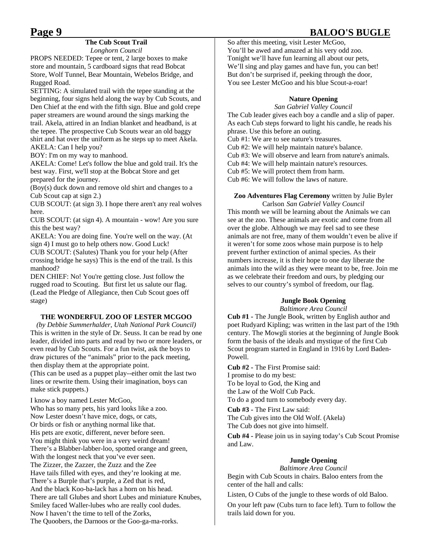## **Page 9 BALOO'S BUGLE**

#### **The Cub Scout Trail**  *Longhorn Council*

PROPS NEEDED: Tepee or tent, 2 large boxes to make store and mountain, 5 cardboard signs that read Bobcat Store, Wolf Tunnel, Bear Mountain, Webelos Bridge, and Rugged Road.

SETTING: A simulated trail with the tepee standing at the beginning, four signs held along the way by Cub Scouts, and Den Chief at the end with the fifth sign. Blue and gold crepe paper streamers are wound around the sings marking the trail. Akela, attired in an Indian blanket and headband, is at the tepee. The prospective Cub Scouts wear an old baggy shirt and hat over the uniform as he steps up to meet Akela. AKELA: Can I help you?

BOY: I'm on my way to manhood.

AKELA: Come! Let's follow the blue and gold trail. It's the best way. First, we'll stop at the Bobcat Store and get prepared for the journey.

(Boy(s) duck down and remove old shirt and changes to a Cub Scout cap at sign 2.)

CUB SCOUT: (at sign 3). I hope there aren't any real wolves here.

CUB SCOUT: (at sign 4). A mountain - wow! Are you sure this the best way?

AKELA: You are doing fine. You're well on the way. (At sign 4) I must go to help others now. Good Luck!

CUB SCOUT: (Salutes) Thank you for your help (After crossing bridge he says) This is the end of the trail. Is this manhood?

DEN CHIEF: No! You're getting close. Just follow the rugged road to Scouting. But first let us salute our flag. (Lead the Pledge of Allegiance, then Cub Scout goes off stage)

### **THE WONDERFUL ZOO OF LESTER MCGOO**

*(by Debbie Summerhalder, Utah National Park Council)*  This is written in the style of Dr. Seuss. It can be read by one leader, divided into parts and read by two or more leaders, or even read by Cub Scouts. For a fun twist, ask the boys to draw pictures of the "animals" prior to the pack meeting, then display them at the appropriate point. (This can be used as a puppet play--either omit the last two lines or rewrite them. Using their imagination, boys can make stick puppets.)

I know a boy named Lester McGoo, Who has so many pets, his yard looks like a zoo. Now Lester doesn't have mice, dogs, or cats, Or birds or fish or anything normal like that. His pets are exotic, different, never before seen. You might think you were in a very weird dream! There's a Blabber-labber-loo, spotted orange and green, With the longest neck that you've ever seen. The Zizzer, the Zazzer, the Zuzz and the Zee Have tails filled with eyes, and they're looking at me. There's a Burple that's purple, a Zed that is red, And the black Koo-ba-lack has a horn on his head. There are tall Glubes and short Lubes and miniature Knubes, Smiley faced Waller-lubes who are really cool dudes. Now I haven't the time to tell of the Zorks, The Quoobers, the Darnoos or the Goo-ga-ma-rorks.

So after this meeting, visit Lester McGoo, You'll be awed and amazed at his very odd zoo. Tonight we'll have fun learning all about our pets, We'll sing and play games and have fun, you can bet! But don't be surprised if, peeking through the door, You see Lester McGoo and his blue Scout-a-roar!

#### **Nature Opening**

*San Gabriel Valley Council* 

The Cub leader gives each boy a candle and a slip of paper. As each Cub steps forward to light his candle, he reads his phrase. Use this before an outing. Cub #1: We are to see nature's treasures. Cub #2: We will help maintain nature's balance. Cub #3: We will observe and learn from nature's animals. Cub #4: We will help maintain nature's resources. Cub #5: We will protect them from harm. Cub #6: We will follow the laws of nature.

**Zoo Adventures Flag Ceremony** written by Julie Byler Carlson *San Gabriel Valley Council* 

This month we will be learning about the Animals we can see at the zoo. These animals are exotic and come from all over the globe. Although we may feel sad to see these animals are not free, many of them wouldn't even be alive if it weren't for some zoos whose main purpose is to help prevent further extinction of animal species. As their numbers increase, it is their hope to one day liberate the animals into the wild as they were meant to be, free. Join me as we celebrate their freedom and ours, by pledging our selves to our country's symbol of freedom, our flag.

### **Jungle Book Opening**

*Baltimore Area Council* 

**Cub #1 -** The Jungle Book, written by English author and poet Rudyard Kipling; was written in the last part of the 19th century. The Mowgli stories at the beginning of Jungle Book form the basis of the ideals and mystique of the first Cub Scout program started in England in 1916 by Lord Baden-Powell.

**Cub #2 -** The First Promise said: I promise to do my best: To be loyal to God, the King and the Law of the Wolf Cub Pack. To do a good turn to somebody every day.

**Cub #3 -** The First Law said: The Cub gives into the Old Wolf. (Akela) The Cub does not give into himself.

**Cub #4 -** Please join us in saying today's Cub Scout Promise and Law.

#### **Jungle Opening**

*Baltimore Area Council*  Begin with Cub Scouts in chairs. Baloo enters from the center of the hall and calls:

Listen, O Cubs of the jungle to these words of old Baloo.

On your left paw (Cubs turn to face left). Turn to follow the trails laid down for you.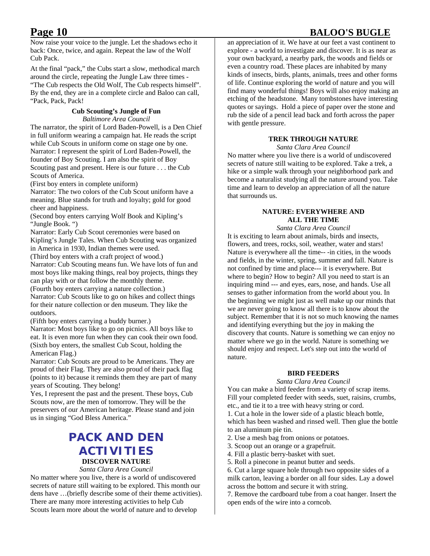## **Page 10** BALOO'S BUGLE

Now raise your voice to the jungle. Let the shadows echo it back: Once, twice, and again. Repeat the law of the Wolf Cub Pack.

At the final "pack," the Cubs start a slow, methodical march around the circle, repeating the Jungle Law three times - "The Cub respects the Old Wolf, The Cub respects himself". By the end, they are in a complete circle and Baloo can call, "Pack, Pack, Pack!

#### **Cub Scouting's Jungle of Fun**  *Baltimore Area Council*

The narrator, the spirit of Lord Baden-Powell, is a Den Chief in full uniform wearing a campaign hat. He reads the script while Cub Scouts in uniform come on stage one by one. Narrator: I represent the spirit of Lord Baden-Powell, the founder of Boy Scouting. I am also the spirit of Boy Scouting past and present. Here is our future . . . the Cub Scouts of America.

(First boy enters in complete uniform)

Narrator: The two colors of the Cub Scout uniform have a meaning. Blue stands for truth and loyalty; gold for good cheer and happiness.

(Second boy enters carrying Wolf Book and Kipling's "Jungle Book. ")

Narrator: Early Cub Scout ceremonies were based on Kipling's Jungle Tales. When Cub Scouting was organized in America in 1930, Indian themes were used.

(Third boy enters with a craft project of wood.)

Narrator: Cub Scouting means fun. We have lots of fun and most boys like making things, real boy projects, things they can play with or that follow the monthly theme.

(Fourth boy enters carrying a nature collection.)

Narrator: Cub Scouts like to go on hikes and collect things for their nature collection or den museum. They like the outdoors.

(Fifth boy enters carrying a buddy burner.)

Narrator: Most boys like to go on picnics. All boys like to eat. It is even more fun when they can cook their own food. (Sixth boy enters, the smallest Cub Scout, holding the American Flag.)

Narrator: Cub Scouts are proud to be Americans. They are proud of their Flag. They are also proud of their pack flag (points to it) because it reminds them they are part of many years of Scouting. They belong!

Yes, I represent the past and the present. These boys, Cub Scouts now, are the men of tomorrow. They will be the preservers of our American heritage. Please stand and join us in singing "God Bless America."

## **PACK AND DEN ACTIVITIES DISCOVER NATURE**

*Santa Clara Area Council* 

No matter where you live, there is a world of undiscovered secrets of nature still waiting to be explored. This month our dens have …(briefly describe some of their theme activities). There are many more interesting activities to help Cub Scouts learn more about the world of nature and to develop

an appreciation of it. We have at our feet a vast continent to explore - a world to investigate and discover. It is as near as your own backyard, a nearby park, the woods and fields or even a country road. These places are inhabited by many kinds of insects, birds, plants, animals, trees and other forms of life. Continue exploring the world of nature and you will find many wonderful things! Boys will also enjoy making an etching of the headstone. Many tombstones have interesting quotes or sayings. Hold a piece of paper over the stone and rub the side of a pencil lead back and forth across the paper with gentle pressure.

#### **TREK THROUGH NATURE**

*Santa Clara Area Council* 

No matter where you live there is a world of undiscovered secrets of nature still waiting to be explored. Take a trek, a hike or a simple walk through your neighborhood park and become a naturalist studying all the nature around you. Take time and learn to develop an appreciation of all the nature that surrounds us.

#### **NATURE: EVERYWHERE AND ALL THE TIME**

*Santa Clara Area Council* 

It is exciting to learn about animals, birds and insects, flowers, and trees, rocks, soil, weather, water and stars! Nature is everywhere all the time-- -in cities, in the woods and fields, in the winter, spring, summer and fall. Nature is not confined by time and place--- it is everywhere. But where to begin? How to begin? All you need to start is an inquiring mind --- and eyes, ears, nose, and hands. Use all senses to gather information from the world about you. In the beginning we might just as well make up our minds that we are never going to know all there is to know about the subject. Remember that it is not so much knowing the names and identifying everything but the joy in making the discovery that counts. Nature is something we can enjoy no matter where we go in the world. Nature is something we should enjoy and respect. Let's step out into the world of nature.

#### **BIRD FEEDERS**

*Santa Clara Area Council* 

You can make a bird feeder from a variety of scrap items. Fill your completed feeder with seeds, suet, raisins, crumbs, etc., and tie it to a tree with heavy string or cord. 1. Cut a hole in the lower side of a plastic bleach bottle, which has been washed and rinsed well. Then glue the bottle

to an aluminum pie tin.

- 2. Use a mesh bag from onions or potatoes.
- 3. Scoop out an orange or a grapefruit.
- 4. Fill a plastic berry-basket with suet.
- 5. Roll a pinecone in peanut butter and seeds.

6. Cut a large square hole through two opposite sides of a milk carton, leaving a border on all four sides. Lay a dowel across the bottom and secure it with string.

7. Remove the cardboard tube from a coat hanger. Insert the open ends of the wire into a corncob.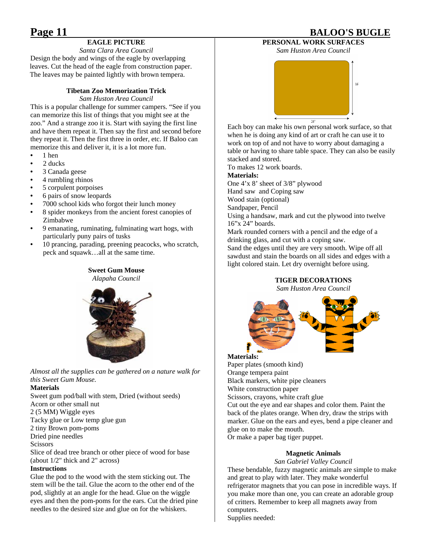### **EAGLE PICTURE**

*Santa Clara Area Council* Design the body and wings of the eagle by overlapping leaves. Cut the head of the eagle from construction paper. The leaves may be painted lightly with brown tempera.

#### **Tibetan Zoo Memorization Trick**

*Sam Huston Area Council* 

This is a popular challenge for summer campers. "See if you can memorize this list of things that you might see at the zoo." And a strange zoo it is. Start with saying the first line and have them repeat it. Then say the first and second before they repeat it. Then the first three in order, etc. If Baloo can memorize this and deliver it, it is a lot more fun.

- 1 hen
- 2 ducks
- 3 Canada geese
- 4 rumbling rhinos
- 5 corpulent porpoises
- 6 pairs of snow leopards
- 7000 school kids who forgot their lunch money
- 8 spider monkeys from the ancient forest canopies of Zimbabwe
- 9 emanating, ruminating, fulminating wart hogs, with particularly puny pairs of tusks
- 10 prancing, parading, preening peacocks, who scratch, peck and squawk…all at the same time.

#### **Sweet Gum Mouse**  *Alapaha Council*



*Almost all the supplies can be gathered on a nature walk for this Sweet Gum Mouse.* 

**Materials** 

Sweet gum pod/ball with stem, Dried (without seeds) Acorn or other small nut 2 (5 MM) Wiggle eyes Tacky glue or Low temp glue gun 2 tiny Brown pom-poms Dried pine needles **Scissors** Slice of dead tree branch or other piece of wood for base (about 1/2" thick and 2" across) **Instructions** 

Glue the pod to the wood with the stem sticking out. The stem will be the tail. Glue the acorn to the other end of the pod, slightly at an angle for the head. Glue on the wiggle eyes and then the pom-poms for the ears. Cut the dried pine needles to the desired size and glue on for the whiskers.

# *Sam Huston Area Council*   $16$

 $\overline{24}$ Each boy can make his own personal work surface, so that when he is doing any kind of art or craft he can use it to work on top of and not have to worry about damaging a table or having to share table space. They can also be easily stacked and stored.

To makes 12 work boards.

#### **Materials:**

One 4'x 8' sheet of 3/8" plywood

Hand saw and Coping saw

Wood stain (optional)

Sandpaper, Pencil

Using a handsaw, mark and cut the plywood into twelve 16"x 24" boards.

Mark rounded corners with a pencil and the edge of a drinking glass, and cut with a coping saw.

Sand the edges until they are very smooth. Wipe off all sawdust and stain the boards on all sides and edges with a light colored stain. Let dry overnight before using.

### **TIGER DECORATIONS**

*Sam Huston Area Council* 



#### **Materials:**

Paper plates (smooth kind) Orange tempera paint Black markers, white pipe cleaners White construction paper Scissors, crayons, white craft glue Cut out the eye and ear shapes and color them. Paint the back of the plates orange. When dry, draw the strips with marker. Glue on the ears and eyes, bend a pipe cleaner and glue on to make the mouth.

Or make a paper bag tiger puppet.

#### **Magnetic Animals**

*San Gabriel Valley Council*

These bendable, fuzzy magnetic animals are simple to make and great to play with later. They make wonderful refrigerator magnets that you can pose in incredible ways. If you make more than one, you can create an adorable group of critters. Remember to keep all magnets away from computers. Supplies needed:

### **Page 11** BALOO'S BUGLE **PERSONAL WORK SURFACES**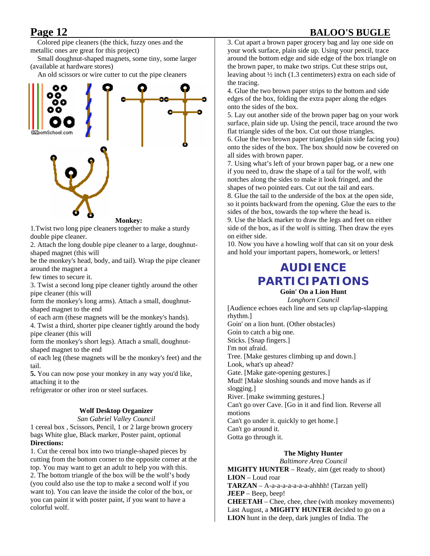Colored pipe cleaners (the thick, fuzzy ones and the metallic ones are great for this project)

 Small doughnut-shaped magnets, some tiny, some larger (available at hardware stores)

An old scissors or wire cutter to cut the pipe cleaners



1.Twist two long pipe cleaners together to make a sturdy double pipe cleaner.

2. Attach the long double pipe cleaner to a large, doughnutshaped magnet (this will

be the monkey's head, body, and tail). Wrap the pipe cleaner around the magnet a

few times to secure it.

3. Twist a second long pipe cleaner tightly around the other pipe cleaner (this will

form the monkey's long arms). Attach a small, doughnutshaped magnet to the end

of each arm (these magnets will be the monkey's hands).

4. Twist a third, shorter pipe cleaner tightly around the body pipe cleaner (this will

form the monkey's short legs). Attach a small, doughnutshaped magnet to the end

of each leg (these magnets will be the monkey's feet) and the tail.

**5.** You can now pose your monkey in any way you'd like, attaching it to the

refrigerator or other iron or steel surfaces.

### **Wolf Desktop Organizer**

*San Gabriel Valley Council* 1 cereal box , Scissors, Pencil, 1 or 2 large brown grocery bags White glue, Black marker, Poster paint, optional **Directions:** 

1. Cut the cereal box into two triangle-shaped pieces by cutting from the bottom corner to the opposite corner at the top. You may want to get an adult to help you with this. 2. The bottom triangle of the box will be the wolf's body (you could also use the top to make a second wolf if you want to). You can leave the inside the color of the box, or you can paint it with poster paint, if you want to have a colorful wolf.

## **Page 12** BALOO'S BUGLE

3. Cut apart a brown paper grocery bag and lay one side on your work surface, plain side up. Using your pencil, trace around the bottom edge and side edge of the box triangle on the brown paper, to make two strips. Cut these strips out, leaving about ½ inch (1.3 centimeters) extra on each side of the tracing.

4. Glue the two brown paper strips to the bottom and side edges of the box, folding the extra paper along the edges onto the sides of the box.

5. Lay out another side of the brown paper bag on your work surface, plain side up. Using the pencil, trace around the two flat triangle sides of the box. Cut out those triangles.

6. Glue the two brown paper triangles (plain side facing you) onto the sides of the box. The box should now be covered on all sides with brown paper.

7. Using what's left of your brown paper bag, or a new one if you need to, draw the shape of a tail for the wolf, with notches along the sides to make it look fringed, and the shapes of two pointed ears. Cut out the tail and ears.

8. Glue the tail to the underside of the box at the open side, so it points backward from the opening. Glue the ears to the sides of the box, towards the top where the head is. 9. Use the black marker to draw the legs and feet on either side of the box, as if the wolf is sitting. Then draw the eyes on either side.

10. Now you have a howling wolf that can sit on your desk and hold your important papers, homework, or letters!

## **AUDIENCE PARTICIPATIONS**

**Goin' On a Lion Hunt** 

*Longhorn Council* 

[Audience echoes each line and sets up clap/lap-slapping rhythm.]

Goin' on a lion hunt. (Other obstacles) Goin to catch a big one. Sticks. [Snap fingers.] I'm not afraid. Tree. [Make gestures climbing up and down.] Look, what's up ahead? Gate. [Make gate-opening gestures.] Mud! [Make sloshing sounds and move hands as if slogging.] River. [make swimming gestures.] Can't go over Cave. [Go in it and find lion. Reverse all motions Can't go under it. quickly to get home.] Can't go around it. Gotta go through it.

### **The Mighty Hunter**

*Baltimore Area Council*  **MIGHTY HUNTER** – Ready, aim (get ready to shoot) **LION** – Loud roar **TARZAN** – A-a-a-a-a-a-a-a-ahhhh! (Tarzan yell) **JEEP** – Beep, beep! **CHEETAH** – Chee, chee, chee (with monkey movements) Last August, a **MIGHTY HUNTER** decided to go on a **LION** hunt in the deep, dark jungles of India. The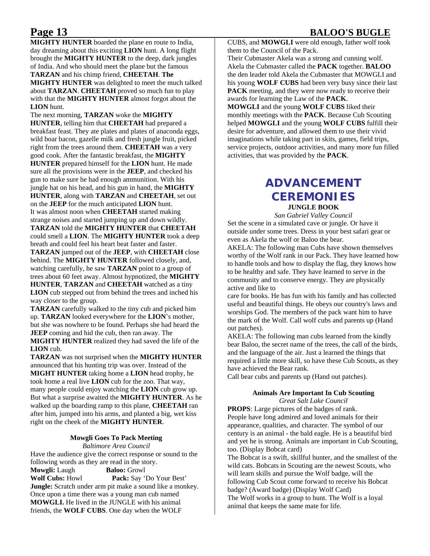## **Page 13** BALOO'S BUGLE

**MIGHTY HUNTER** boarded the plane en route to India, day dreaming about this exciting **LION** hunt. A long flight brought the **MIGHTY HUNTER** to the deep, dark jungles of India. And who should meet the plane but the famous **TARZAN** and his chimp friend, **CHEETAH**. **The MIGHTY HUNTER** was delighted to meet the much talked about **TARZAN**. **CHEETAH** proved so much fun to play with that the **MIGHTY HUNTER** almost forgot about the **LION** hunt.

The next morning, **TARZAN** woke the **MIGHTY HUNTER**, telling him that **CHEETAH** had prepared a breakfast feast. They ate plates and plates of anaconda eggs, wild boar bacon, gazelle milk and fresh jungle fruit, picked right from the trees around them. **CHEETAH** was a very good cook. After the fantastic breakfast, the **MIGHTY HUNTER** prepared himself for the **LION** hunt. He made sure all the provisions were in the **JEEP**, and checked his gun to make sure he had enough ammunition. With his jungle hat on his head, and his gun in hand, the **MIGHTY HUNTER**, along with **TARZAN** and **CHEETAH**, set out on the **JEEP** for the much anticipated **LION** hunt. It was almost noon when **CHEETAH** started making strange noises and started jumping up and down wildly. **TARZAN** told the **MIGHTY HUNTER** that **CHEETAH** could smell a **LION**. The **MIGHTY HUNTER** took a deep breath and could feel his heart beat faster and faster. **TARZAN** jumped out of the **JEEP**, with **CHEETAH** close behind. The **MIGHTY HUNTER** followed closely, and, watching carefully, he saw **TARZAN** point to a group of trees about 60 feet away. Almost hypnotized, the **MIGHTY HUNTER**, **TARZAN** and **CHEETAH** watched as a tiny **LION** cub stepped out from behind the trees and inched his way closer to the group.

**TARZAN** carefully walked to the tiny cub and picked him up. **TARZAN** looked everywhere for the **LION**'s mother, but she was nowhere to be found. Perhaps she had heard the **JEEP** coming and hid the cub, then ran away. The **MIGHTY HUNTER** realized they had saved the life of the **LION** cub.

**TARZAN** was not surprised when the **MIGHTY HUNTER** announced that his hunting trip was over. Instead of the **MIGHT HUNTER** taking home a **LION** head trophy, he took home a real live **LION** cub for the zoo. That way, many people could enjoy watching the **LION** cub grow up. But what a surprise awaited the **MIGHTY HUNTER**. As he walked up the boarding ramp to this plane, **CHEETAH** ran after him, jumped into his arms, and planted a big, wet kiss right on the cheek of the **MIGHTY HUNTER**.

### **Mowgli Goes To Pack Meeting**

*Baltimore Area Council*  Have the audience give the correct response or sound to the following words as they are read in the story. **Mowgli:** Laugh **Baloo:** Growl **Wolf Cubs:** Howl **Pack:** Say 'Do Your Best' **Jungle:** Scratch under arm pit make a sound like a monkey. Once upon a time there was a young man cub named **MOWGLI.** He lived in the JUNGLE with his animal friends, the **WOLF CUBS**. One day when the WOLF

CUBS, and **MOWGLI** were old enough, father wolf took them to the Council of the Pack.

Their Cubmaster Akela was a strong and cunning wolf. Akela the Cubmaster called the **PACK** together. **BALOO** the den leader told Akela the Cubmaster that MOWGLI and his young **WOLF CUBS** had been very busy since their last **PACK** meeting, and they were now ready to receive their awards for learning the Law of the **PACK**.

**MOWGLI** and the young **WOLF CUBS** liked their monthly meetings with the **PACK**. Because Cub Scouting helped **MOWGLI** and the young **WOLF CUBS** fulfill their desire for adventure, and allowed them to use their vivid imaginations while taking part in skits, games, field trips, service projects, outdoor activities, and many more fun filled activities, that was provided by the **PACK**.

## **ADVANCEMENT CEREMONIES JUNGLE BOOK**

*San Gabriel Valley Council*

Set the scene in a simulated cave or jungle. Or have it outside under some trees. Dress in your best safari gear or even as Akela the wolf or Baloo the bear.

AKELA: The following man Cubs have shown themselves worthy of the Wolf rank in our Pack. They have learned how to handle tools and how to display the flag, they knows how to be healthy and safe. They have learned to serve in the community and to conserve energy. They are physically active and like to

care for books. He has fun with his family and has collected useful and beautiful things. He obeys our country's laws and worships God. The members of the pack want him to have the mark of the Wolf. Call wolf cubs and parents up (Hand out patches).

AKELA: The following man cubs learned from the kindly bear Baloo, the secret name of the trees, the call of the birds, and the language of the air. Just a learned the things that required a little more skill, so have these Cub Scouts, as they have achieved the Bear rank.

Call bear cubs and parents up (Hand out patches).

## **Animals Are Important In Cub Scouting**

*Great Salt Lake Council* 

**PROPS**: Large pictures of the badges of rank. People have long admired and loved animals for their appearance, qualities, and character. The symbol of our century is an animal - the bald eagle. He is a beautiful bird and yet he is strong. Animals are important in Cub Scouting, too. (Display Bobcat card)

The Bobcat is a swift, skillful hunter, and the smallest of the wild cats. Bobcats in Scouting are the newest Scouts, who will learn skills and pursue the Wolf badge, will the following Cub Scout come forward to receive his Bobcat badge? (Award badge) (Display Wolf Card) The Wolf works in a group to hunt. The Wolf is a loyal animal that keeps the same mate for life.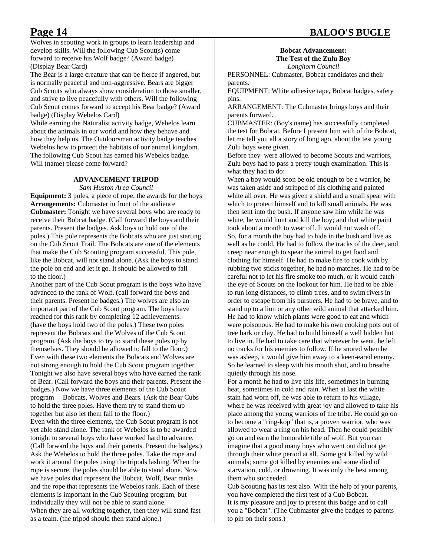## **Page 14** BALOO'S BUGLE

Wolves in scouting work in groups to learn leadership and develop skills. Will the following Cub Scout(s) come forward to receive his Wolf badge? (Award badge) (Display Bear Card)

The Bear is a large creature that can be fierce if angered, but is normally peaceful and non-aggressive. Bears are bigger Cub Scouts who always show consideration to those smaller, and strive to live peacefully with others. Will the following Cub Scout comes forward to accept his Bear badge? (Award badge) (Display Webelos Card)

While earning the Naturalist activity badge, Webelos learn about the animals in our world and how they behave and how they help us. The Outdoorsman activity badge teaches Webelos how to protect the habitats of our animal kingdom. The following Cub Scout has earned his Webelos badge. Will (name) please come forward?

### **ADVANCEMENT TRIPOD**

*Sam Huston Area Council* 

**Equipment:** 3 poles, a piece of rope, the awards for the boys **Arrangements:** Cubmaster in front of the audience **Cubmaster:** Tonight we have several boys who are ready to receive their Bobcat badge. (Call forward the boys and their parents. Present the badges. Ask boys to hold one of the poles.) This pole represents the Bobcats who are just starting on the Cub Scout Trail. The Bobcats are one of the elements that make the Cub Scouting program successful. This pole, like the Bobcat, will not stand alone. (Ask the boys to stand the pole on end and let it go. It should be allowed to fall to the floor.)

Another part of the Cub Scout program is the boys who have advanced to the rank of Wolf. (call forward the boys and their parents. Present he badges.) The wolves are also an important part of the Cub Scout program. The boys have reached for this rank by completing 12 achievements. (have the boys hold two of the poles.) These two poles represent the Bobcats and the Wolves of the Cub Scout program. (Ask the boys to try to stand these poles up by themselves. They should be allowed to fall to the floor.) Even with these two elements the Bobcats and Wolves are not strong enough to hold the Cub Scout program together. Tonight we also have several boys who have earned the rank of Bear. (Call forward the boys and their parents. Present the badges.) Now we have three elements of the Cub Scout program— Bobcats, Wolves and Bears. (Ask the Bear Cubs to hold the three poles. Have them try to stand them up together but also let them fall to the floor.)

Even with the three elements, the Cub Scout program is not yet able stand alone. The rank of Webelos is to be awarded tonight to several boys who have worked hard to advance. (Call forward the boys and their parents. Present the badges.) Ask the Webelos to hold the three poles. Take the rope and work it around the poles using the tripods lashing. When the rope is secure, the poles should be able to stand alone. Now we have poles that represent the Bobcat, Wolf, Bear ranks and the rope that represents the Webelos rank. Each of these elements is important in the Cub Scouting program, but individually they will not be able to stand alone. When they are all working together, then they will stand fast as a team. (the tripod should then stand alone.)

#### **Bobcat Advancement: The Test of the Zulu Boy**  *Longhorn Council*

PERSONNEL: Cubmaster, Bobcat candidates and their parents.

EQUIPMENT: White adhesive tape, Bobcat badges, safety pins.

ARRANGEMENT: The Cubmaster brings boys and their parents forward.

CUBMASTER: (Boy's name) has successfully completed the test for Bobcat. Before I present him with of the Bobcat, let me tell you all a story of long ago, about the test young Zulu boys were given.

Before they were allowed to become Scouts and warriors, Zulu boys had to pass a pretty tough examination. This is what they had to do:

When a boy would soon be old enough to be a warrior, he was taken aside and stripped of his clothing and painted white all over. He was given a shield and a small spear with which to protect himself and to kill small animals. He was then sent into the bush. If anyone saw him while he was white, he would hunt and kill the boy; and that white paint took about a month to wear off. It would not wash off. So, for a month the boy had to hide in the bush and live as well as he could. He had to follow the tracks of the deer, and creep near enough to spear the animal to get food and clothing for himself. He had to make fire to cook with by rubbing two sticks together, he had no matches. He had to be careful not to let his fire smoke too much, or it would catch the eye of Scouts on the lookout for him. He had to be able to run long distances, to climb trees, and to swim rivers in order to escape from his pursuers. He had to be brave, and to stand up to a lion or any other wild animal that attacked him. He had to know which plants were good to eat and which were poisonous. He had to make his own cooking pots out of tree bark or clay. He had to build himself a well hidden hut to live in. He had to take care that wherever he went, he left no tracks for his enemies to follow. If he snored when he was asleep, it would give him away to a keen-eared enemy. So he learned to sleep with his mouth shut, and to breathe quietly through his nose.

For a month he had to live this life, sometimes in burning heat, sometimes in cold and rain. When at last the white stain had worn off, he was able to return to his village, where he was received with great joy and allowed to take his place among the young warriors of the tribe. He could go on to become a "ring-kop" that is, a proven warrior, who was allowed to wear a ring on his head. Then he could possibly go on and earn the honorable title of wolf. But you can imagine that a good many boys who went out did not get through their white period at all. Some got killed by wild animals; some got killed by enemies and some died of starvation, cold, or drowning. It was only the best among them who succeeded.

Cub Scouting has its test also. With the help of your parents, you have completed the first test of a Cub Bobcat. It is my pleasure and joy to present this badge and to call you a "Bobcat". (The Cubmaster give the badges to parents to pin on their sons.)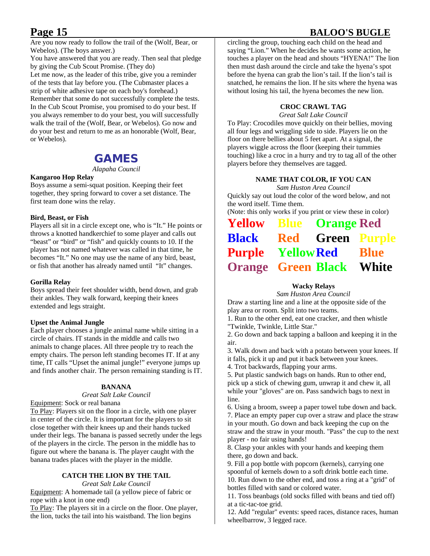## **Page 15** BALOO'S BUGLE

Are you now ready to follow the trail of the (Wolf, Bear, or Webelos). (The boys answer.) You have answered that you are ready. Then seal that pledge

by giving the Cub Scout Promise. (They do) Let me now, as the leader of this tribe, give you a reminder of the tests that lay before you. (The Cubmaster places a strip of white adhesive tape on each boy's forehead.) Remember that some do not successfully complete the tests. In the Cub Scout Promise, you promised to do your best. If you always remember to do your best, you will successfully walk the trail of the (Wolf, Bear, or Webelos). Go now and do your best and return to me as an honorable (Wolf, Bear, or Webelos).

## **GAMES**

*Alapaha Council* 

#### **Kangaroo Hop Relay**

Boys assume a semi-squat position. Keeping their feet together, they spring forward to cover a set distance. The first team done wins the relay.

#### **Bird, Beast, or Fish**

Players all sit in a circle except one, who is "It." He points or throws a knotted handkerchief to some player and calls out "beast" or "bird" or "fish" and quickly counts to 10. If the player has not named whatever was called in that time, he becomes "It." No one may use the name of any bird, beast, or fish that another has already named until "It" changes.

#### **Gorilla Relay**

Boys spread their feet shoulder width, bend down, and grab their ankles. They walk forward, keeping their knees extended and legs straight.

### **Upset the Animal Jungle**

Each player chooses a jungle animal name while sitting in a circle of chairs. IT stands in the middle and calls two animals to change places. All three people try to reach the empty chairs. The person left standing becomes IT. If at any time, IT calls "Upset the animal jungle!" everyone jumps up and finds another chair. The person remaining standing is IT.

#### **BANANA**

*Great Salt Lake Council* 

Equipment: Sock or real banana

To Play: Players sit on the floor in a circle, with one player in center of the circle. It is important for the players to sit close together with their knees up and their hands tucked under their legs. The banana is passed secretly under the legs of the players in the circle. The person in the middle has to figure out where the banana is. The player caught with the banana trades places with the player in the middle.

### **CATCH THE LION BY THE TAIL**

*Great Salt Lake Council* 

Equipment: A homemade tail (a yellow piece of fabric or rope with a knot in one end)

To Play: The players sit in a circle on the floor. One player, the lion, tucks the tail into his waistband. The lion begins

circling the group, touching each child on the head and saying "Lion." When he decides he wants some action, he touches a player on the head and shouts "HYENA!" The lion then must dash around the circle and take the hyena's spot before the hyena can grab the lion's tail. If the lion's tail is snatched, he remains the lion. If he sits where the hyena was without losing his tail, the hyena becomes the new lion.

#### **CROC CRAWL TAG**

*Great Salt Lake Council* 

To Play: Crocodiles move quickly on their bellies, moving all four legs and wriggling side to side. Players lie on the floor on there bellies about 5 feet apart. At a signal, the players wiggle across the floor (keeping their tummies touching) like a croc in a hurry and try to tag all of the other players before they themselves are tagged.

#### **NAME THAT COLOR, IF YOU CAN**

*Sam Huston Area Council*  Quickly say out loud the color of the word below, and not the word itself. Time them.

(Note: this only works if you print or view these in color)

## **Yellow Blue Orange Red Black Red Green Purple Purple Yellow Red Blue Orange Green Black White**

### **Wacky Relays**

*Sam Huston Area Council* 

Draw a starting line and a line at the opposite side of the play area or room. Split into two teams.

1. Run to the other end, eat one cracker, and then whistle "Twinkle, Twinkle, Little Star."

2. Go down and back tapping a balloon and keeping it in the air.

3. Walk down and back with a potato between your knees. If

it falls, pick it up and put it back between your knees.

4. Trot backwards, flapping your arms.

5. Put plastic sandwich bags on hands. Run to other end, pick up a stick of chewing gum, unwrap it and chew it, all while your "gloves" are on. Pass sandwich bags to next in line.

6. Using a broom, sweep a paper towel tube down and back. 7. Place an empty paper cup over a straw and place the straw in your mouth. Go down and back keeping the cup on the straw and the straw in your mouth. "Pass" the cup to the next player - no fair using hands!

8. Clasp your ankles with your hands and keeping them there, go down and back.

9. Fill a pop bottle with popcorn (kernels), carrying one spoonful of kernels down to a soft drink bottle each time. 10. Run down to the other end, and toss a ring at a "grid" of bottles filled with sand or colored water.

11. Toss beanbags (old socks filled with beans and tied off) at a tic-tac-toe grid.

12. Add "regular" events: speed races, distance races, human wheelbarrow, 3 legged race.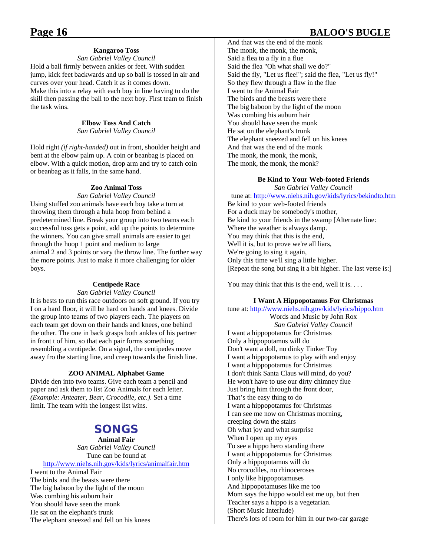## **Page 16** BALOO'S BUGLE

### **Kangaroo Toss**

*San Gabriel Valley Council* Hold a ball firmly between ankles or feet. With sudden jump, kick feet backwards and up so ball is tossed in air and curves over your head. Catch it as it comes down. Make this into a relay with each boy in line having to do the skill then passing the ball to the next boy. First team to finish the task wins.

#### **Elbow Toss And Catch**

*San Gabriel Valley Council*

Hold right *(if right-handed)* out in front, shoulder height and bent at the elbow palm up. A coin or beanbag is placed on elbow. With a quick motion, drop arm and try to catch coin or beanbag as it falls, in the same hand.

#### **Zoo Animal Toss**

*San Gabriel Valley Council* Using stuffed zoo animals have each boy take a turn at throwing them through a hula hoop from behind a predetermined line. Break your group into two teams each successful toss gets a point, add up the points to determine the winners. You can give small animals are easier to get through the hoop 1 point and medium to large animal 2 and 3 points or vary the throw line. The further way the more points. Just to make it more challenging for older boys.

#### **Centipede Race**

#### *San Gabriel Valley Council*

It is bests to run this race outdoors on soft ground. If you try I on a hard floor, it will be hard on hands and knees. Divide the group into teams of two players each. The players on each team get down on their hands and knees, one behind the other. The one in back grasps both ankles of his partner in front t of him, so that each pair forms something resembling a centipede. On a signal, the centipedes move away fro the starting line, and creep towards the finish line.

### **ZOO ANIMAL Alphabet Game**

Divide den into two teams. Give each team a pencil and paper and ask them to list Zoo Animals for each letter. *(Example: Anteater, Bear, Crocodile, etc.)*. Set a time limit. The team with the longest list wins.

## **SONGS**

**Animal Fair**  *San Gabriel Valley Council* Tune can be found at <http://www.niehs.nih.gov/kids/lyrics/animalfair.htm>

I went to the Animal Fair The birds and the beasts were there The big baboon by the light of the moon Was combing his auburn hair You should have seen the monk He sat on the elephant's trunk The elephant sneezed and fell on his knees And that was the end of the monk The monk, the monk, the monk, Said a flea to a fly in a flue Said the flea "Oh what shall we do?" Said the fly, "Let us flee!"; said the flea, "Let us fly!" So they flew through a flaw in the flue I went to the Animal Fair The birds and the beasts were there The big baboon by the light of the moon Was combing his auburn hair You should have seen the monk He sat on the elephant's trunk The elephant sneezed and fell on his knees And that was the end of the monk The monk, the monk, the monk, The monk, the monk, the monk?

#### **Be Kind to Your Web-footed Friends**

*San Gabriel Valley Council* tune at:<http://www.niehs.nih.gov/kids/lyrics/bekindto.htm> Be kind to your web-footed friends For a duck may be somebody's mother, Be kind to your friends in the swamp [Alternate line: Where the weather is always damp. You may think that this is the end, Well it is, but to prove we're all liars, We're going to sing it again, Only this time we'll sing a little higher. [Repeat the song but sing it a bit higher. The last verse is:]

You may think that this is the end, well it is. . . .

#### **I Want A Hippopotamus For Christmas**

tune at: http://www.niehs.nih.gov/kids/lyrics/hippo.htm Words and Music by John Rox *San Gabriel Valley Council* I want a hippopotamus for Christmas Only a hippopotamus will do Don't want a doll, no dinky Tinker Toy I want a hippopotamus to play with and enjoy I want a hippopotamus for Christmas I don't think Santa Claus will mind, do you? He won't have to use our dirty chimney flue Just bring him through the front door, That's the easy thing to do I want a hippopotamus for Christmas I can see me now on Christmas morning, creeping down the stairs Oh what joy and what surprise When I open up my eyes To see a hippo hero standing there I want a hippopotamus for Christmas Only a hippopotamus will do No crocodiles, no rhinoceroses I only like hippopotamuses And hippopotamuses like me too Mom says the hippo would eat me up, but then Teacher says a hippo is a vegetarian. (Short Music Interlude) There's lots of room for him in our two-car garage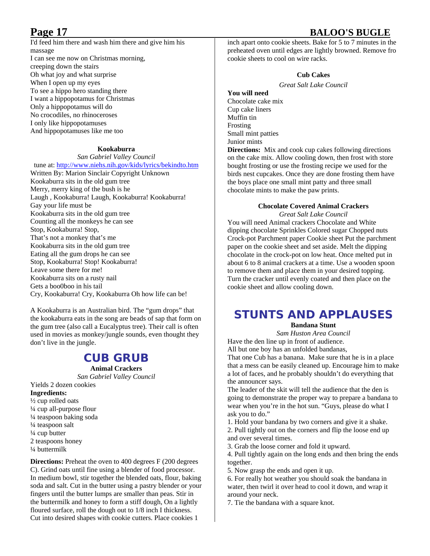### I'd feed him there and wash him there and give him his massage I can see me now on Christmas morning, creeping down the stairs Oh what joy and what surprise When I open up my eyes To see a hippo hero standing there I want a hippopotamus for Christmas

Only a hippopotamus will do No crocodiles, no rhinoceroses I only like hippopotamuses And hippopotamuses like me too

#### **Kookaburra**

*San Gabriel Valley Council* tune at: <http://www.niehs.nih.gov/kids/lyrics/bekindto.htm> Written By: Marion Sinclair Copyright Unknown Kookaburra sits in the old gum tree Merry, merry king of the bush is he Laugh , Kookaburra! Laugh, Kookaburra! Kookaburra! Gay your life must be Kookaburra sits in the old gum tree Counting all the monkeys he can see Stop, Kookaburra! Stop, That's not a monkey that's me Kookaburra sits in the old gum tree Eating all the gum drops he can see Stop, Kookaburra! Stop! Kookaburra! Leave some there for me! Kookaburra sits on a rusty nail Gets a boo0boo in his tail Cry, Kookaburra! Cry, Kookaburra Oh how life can be!

A Kookaburra is an Australian bird. The "gum drops" that the kookaburra eats in the song are beads of sap that form on the gum tree (also call a Eucalyptus tree). Their call is often used in movies as monkey/jungle sounds, even thought they don't live in the jungle.

## **CUB GRUB**

**Animal Crackers** 

*San Gabriel Valley Council* Yields 2 dozen cookies

#### **Ingredients:**

½ cup rolled oats ¼ cup all-purpose flour ¼ teaspoon baking soda ¼ teaspoon salt ¼ cup butter 2 teaspoons honey ¼ buttermilk

**Directions:** Preheat the oven to 400 degrees F (200 degrees) C). Grind oats until fine using a blender of food processor. In medium bowl, stir together the blended oats, flour, baking soda and salt. Cut in the butter using a pastry blender or your fingers until the butter lumps are smaller than peas. Stir in the buttermilk and honey to form a stiff dough, On a lightly floured surface, roll the dough out to 1/8 inch I thickness. Cut into desired shapes with cookie cutters. Place cookies 1

inch apart onto cookie sheets. Bake for 5 to 7 minutes in the preheated oven until edges are lightly browned. Remove fro cookie sheets to cool on wire racks.

#### **Cub Cakes**

*Great Salt Lake Council* 

**You will need**  Chocolate cake mix Cup cake liners Muffin tin Frosting Small mint patties Junior mints

**Directions:** Mix and cook cup cakes following directions on the cake mix. Allow cooling down, then frost with store bought frosting or use the frosting recipe we used for the birds nest cupcakes. Once they are done frosting them have the boys place one small mint patty and three small chocolate mints to make the paw prints.

#### **Chocolate Covered Animal Crackers**  *Great Salt Lake Council*

You will need Animal crackers Chocolate and White dipping chocolate Sprinkles Colored sugar Chopped nuts Crock-pot Parchment paper Cookie sheet Put the parchment paper on the cookie sheet and set aside. Melt the dipping chocolate in the crock-pot on low heat. Once melted put in about 6 to 8 animal crackers at a time. Use a wooden spoon to remove them and place them in your desired topping. Turn the cracker until evenly coated and then place on the cookie sheet and allow cooling down.

## **STUNTS AND APPLAUSES**

**Bandana Stunt** 

*Sam Huston Area Council* 

Have the den line up in front of audience. All but one boy has an unfolded bandanas,

That one Cub has a banana. Make sure that he is in a place that a mess can be easily cleaned up. Encourage him to make a lot of faces, and he probably shouldn't do everything that the announcer says.

The leader of the skit will tell the audience that the den is going to demonstrate the proper way to prepare a bandana to wear when you're in the hot sun. "Guys, please do what I ask you to do."

1. Hold your bandana by two corners and give it a shake.

2. Pull tightly out on the corners and flip the loose end up and over several times.

3. Grab the loose corner and fold it upward.

4. Pull tightly again on the long ends and then bring the ends together.

5. Now grasp the ends and open it up.

6. For really hot weather you should soak the bandana in water, then twirl it over head to cool it down, and wrap it around your neck.

7. Tie the bandana with a square knot.

## **Page 17** BALOO'S BUGLE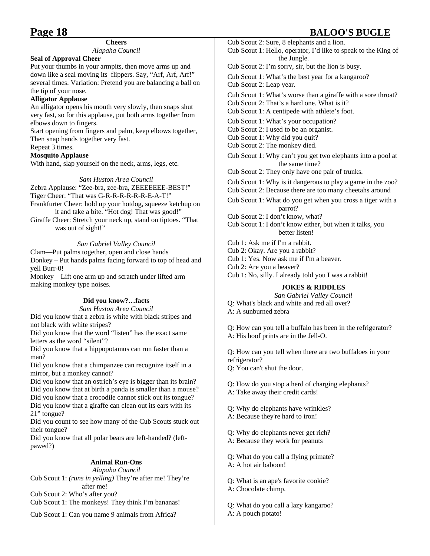#### **Cheers**  *Alapaha Council*

#### **Seal of Approval Cheer**

Put your thumbs in your armpits, then move arms up and down like a seal moving its flippers. Say, "Arf, Arf, Arf!" several times. Variation: Pretend you are balancing a ball on the tip of your nose.

### **Alligator Applause**

An alligator opens his mouth very slowly, then snaps shut very fast, so for this applause, put both arms together from elbows down to fingers.

Start opening from fingers and palm, keep elbows together, Then snap hands together very fast.

Repeat 3 times.

#### **Mosquito Applause**

With hand, slap yourself on the neck, arms, legs, etc.

#### *Sam Huston Area Council*

Zebra Applause: "Zee-bra, zee-bra, ZEEEEEEE-BEST!" Tiger Cheer: "That was G-R-R-R-R-R-R-E-A-T!" Frankfurter Cheer: hold up your hotdog, squeeze ketchup on

it and take a bite. "Hot dog! That was good!"

Giraffe Cheer: Stretch your neck up, stand on tiptoes. "That was out of sight!"

#### *San Gabriel Valley Council*

Clam—Put palms together, open and close hands Donkey – Put hands palms facing forward to top of head and yell Burr-0!

Monkey – Lift one arm up and scratch under lifted arm making monkey type noises.

### **Did you know?…facts**

*Sam Huston Area Council* 

Did you know that a zebra is white with black stripes and not black with white stripes?

Did you know that the word "listen" has the exact same letters as the word "silent"?

Did you know that a hippopotamus can run faster than a man?

Did you know that a chimpanzee can recognize itself in a mirror, but a monkey cannot?

Did you know that an ostrich's eye is bigger than its brain? Did you know that at birth a panda is smaller than a mouse?

Did you know that a crocodile cannot stick out its tongue? Did you know that a giraffe can clean out its ears with its

21" tongue?

Did you count to see how many of the Cub Scouts stuck out their tongue?

Did you know that all polar bears are left-handed? (leftpawed?)

#### **Animal Run-Ons**

*Alapaha Council*  Cub Scout 1: *(runs in yelling)* They're after me! They're

after me!

Cub Scout 2: Who's after you?

Cub Scout 1: The monkeys! They think I'm bananas!

Cub Scout 1: Can you name 9 animals from Africa?

## **Page 18** BALOO'S BUGLE

Cub Scout 2: Sure, 8 elephants and a lion. Cub Scout 1: Hello, operator, I'd like to speak to the King of the Jungle. Cub Scout 2: I'm sorry, sir, but the lion is busy. Cub Scout 1: What's the best year for a kangaroo? Cub Scout 2: Leap year. Cub Scout 1: What's worse than a giraffe with a sore throat? Cub Scout 2: That's a hard one. What is it? Cub Scout 1: A centipede with athlete's foot. Cub Scout 1: What's your occupation? Cub Scout 2: I used to be an organist. Cub Scout 1: Why did you quit? Cub Scout 2: The monkey died. Cub Scout 1: Why can't you get two elephants into a pool at the same time? Cub Scout 2: They only have one pair of trunks. Cub Scout 1: Why is it dangerous to play a game in the zoo? Cub Scout 2: Because there are too many cheetahs around Cub Scout 1: What do you get when you cross a tiger with a parrot? Cub Scout 2: I don't know, what? Cub Scout 1: I don't know either, but when it talks, you better listen! Cub 1: Ask me if I'm a rabbit. Cub 2: Okay. Are you a rabbit?

Cub 1: Yes. Now ask me if I'm a beaver.

Cub 2: Are you a beaver?

Cub 1: No, silly. I already told you I was a rabbit!

### **JOKES & RIDDLES**

*San Gabriel Valley Council*

Q: What's black and white and red all over?

A: A sunburned zebra

Q: How can you tell a buffalo has been in the refrigerator? A: His hoof prints are in the Jell-O.

Q: How can you tell when there are two buffaloes in your refrigerator?

Q: You can't shut the door.

Q: How do you stop a herd of charging elephants?

A: Take away their credit cards!

Q: Why do elephants have wrinkles?

A: Because they're hard to iron!

Q: Why do elephants never get rich?

A: Because they work for peanuts

Q: What do you call a flying primate? A: A hot air baboon!

Q: What is an ape's favorite cookie?

A: Chocolate chimp.

Q: What do you call a lazy kangaroo?

A: A pouch potato!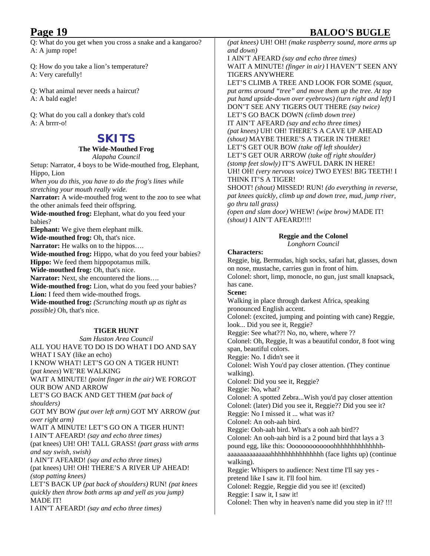Q: What do you get when you cross a snake and a kangaroo? A: A jump rope!

Q: How do you take a lion's temperature? A: Very carefully!

Q: What animal never needs a haircut? A: A bald eagle!

Q: What do you call a donkey that's cold A: A brrrr-o!

## **SKITS**

**The Wide-Mouthed Frog**  *Alapaha Council* 

Setup: Narrator, 4 boys to be Wide-mouthed frog, Elephant, Hippo, Lion

*When you do this, you have to do the frog's lines while stretching your mouth really wide.* 

**Narrator:** A wide-mouthed frog went to the zoo to see what the other animals feed their offspring.

**Wide-mouthed frog:** Elephant, what do you feed your babies?

**Elephant:** We give them elephant milk. **Wide-mouthed frog:** Oh, that's nice. **Narrator:** He walks on to the hippos.... **Wide-mouthed frog:** Hippo, what do you feed your babies? **Hippo:** We feed them hippopotamus milk. **Wide-mouthed frog:** Oh, that's nice. **Narrator:** Next, she encountered the lions…. **Wide-mouthed frog:** Lion, what do you feed your babies? Lion: I feed them wide-mouthed frogs. **Wide-mouthed frog:** *(Scrunching mouth up as tight as possible)* Oh, that's nice.

### **TIGER HUNT**

*Sam Huston Area Council*  ALL YOU HAVE TO DO IS DO WHAT I DO AND SAY WHAT I SAY (like an echo) I KNOW WHAT! LET'S GO ON A TIGER HUNT! (*pat knees*) WE'RE WALKING WAIT A MINUTE! *(point finger in the air)* WE FORGOT OUR BOW AND ARROW LET'S GO BACK AND GET THEM *(pat back of shoulders)*  GOT MY BOW *(put over left arm)* GOT MY ARROW *(put over right arm)*  WAIT A MINUTE! LET'S GO ON A TIGER HUNT! I AIN'T AFEARD! *(say and echo three times)*  (pat knees) UH! OH! TALL GRASS! *(part grass with arms and say swish, swish)*  I AIN'T AFEARD! *(say and echo three times)*  (pat knees) UH! OH! THERE'S A RIVER UP AHEAD! *(stop patting knees)*  LET'S BACK UP *(pat back of shoulders)* RUN! *(pat knees quickly then throw both arms up and yell as you jump)*  MADE IT! I AIN'T AFEARD! *(say and echo three times)* 

*(pat knees)* UH! OH! *(make raspberry sound, more arms up and down)* 

I AIN'T AFEARD *(say and echo three times)*  WAIT A MINUTE! *(finger in air)* I HAVEN'T SEEN ANY TIGERS ANYWHERE

LET'S CLIMB A TREE AND LOOK FOR SOME *(squat, put arms around "tree" and move them up the tree. At top put hand upside-down over eyebrows) (turn right and left)* I DON'T SEE ANY TIGERS OUT THERE *(say twice)*  LET'S GO BACK DOWN *(climb down tree)*  IT AIN'T AFEARD *(say and echo three times) (pat knees)* UH! OH! THERE'S A CAVE UP AHEAD *(shout)* MAYBE THERE'S A TIGER IN THERE! LET'S GET OUR BOW *(take off left shoulder)*  LET'S GET OUR ARROW *(take off right shoulder) (stomp feet slowly)* IT'S AWFUL DARK IN HERE! UH! OH! *(very nervous voice)* TWO EYES! BIG TEETH! I THINK IT'S A TIGER!

SHOOT! *(shout)* MISSED! RUN! *(do everything in reverse, pat knees quickly, climb up and down tree, mud, jump river, go thru tall grass)* 

*(open and slam door)* WHEW! *(wipe brow)* MADE IT! *(shout)* I AIN'T AFEARD!!!!

#### **Reggie and the Colonel**  *Longhorn Council*

#### **Characters:**

Reggie, big, Bermudas, high socks, safari hat, glasses, down on nose, mustache, carries gun in front of him. Colonel: short, limp, monocle, no gun, just small knapsack, has cane. **Scene:**  Walking in place through darkest Africa, speaking pronounced English accent. Colonel: (excited, jumping and pointing with cane) Reggie, look... Did you see it, Reggie? Reggie: See what??! No, no, where, where ?? Colonel: Oh, Reggie, It was a beautiful condor, 8 foot wing span, beautiful colors. Reggie: No. I didn't see it Colonel: Wish You'd pay closer attention. (They continue walking). Colonel: Did you see it, Reggie? Reggie: No, what? Colonel: A spotted Zebra...Wish you'd pay closer attention Colonel: (later) Did you see it, Reggie?? Did you see it? Reggie: No I missed it ... what was it? Colonel: An ooh-aah bird. Reggie: Ooh-aah bird. What's a ooh aah bird?? Colonel: An ooh-aah bird is a 2 pound bird that lays a 3 pound egg, like this: Ooooooooooooohhhhhhhhhhhhhhaaaaaaaaaaaaaahhhhhhhhhhhhhhh (face lights up) (continue walking). Reggie: Whispers to audience: Next time I'll say yes pretend like I saw it. I'll fool him. Colonel: Reggie, Reggie did you see it! (excited) Reggie: I saw it, I saw it! Colonel: Then why in heaven's name did you step in it? !!!

## **Page 19** BALOO'S BUGLE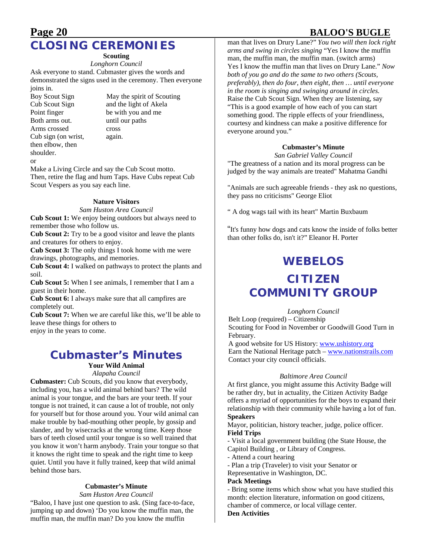## **Page 20** BALOO'S BUGLE **CLOSING CEREMONIES**

**Scouting**  *Longhorn Council*  Ask everyone to stand. Cubmaster gives the words and demonstrated the signs used in the ceremony. Then everyone

joins in. Both arms out. until our paths Arms crossed cross Cub sign (on wrist, again. then elbow, then shoulder. or

Boy Scout Sign May the spirit of Scouting Cub Scout Sign and the light of Akela Point finger be with you and me

Make a Living Circle and say the Cub Scout motto. Then, retire the flag and hum Taps. Have Cubs repeat Cub Scout Vespers as you say each line.

#### **Nature Visitors**

*Sam Huston Area Council*  **Cub Scout 1:** We enjoy being outdoors but always need to remember those who follow us.

**Cub Scout 2:** Try to be a good visitor and leave the plants and creatures for others to enjoy.

**Cub Scout 3:** The only things I took home with me were drawings, photographs, and memories.

**Cub Scout 4:** I walked on pathways to protect the plants and soil.

**Cub Scout 5:** When I see animals, I remember that I am a guest in their home.

**Cub Scout 6:** I always make sure that all campfires are completely out.

**Cub Scout 7:** When we are careful like this, we'll be able to leave these things for others to

enjoy in the years to come.

## **Cubmaster's Minutes**

#### **Your Wild Animal**

*Alapaha Council* 

**Cubmaster:** Cub Scouts, did you know that everybody, including you, has a wild animal behind bars? The wild animal is your tongue, and the bars are your teeth. If your tongue is not trained, it can cause a lot of trouble, not only for yourself but for those around you. Your wild animal can make trouble by bad-mouthing other people, by gossip and slander, and by wisecracks at the wrong time. Keep those bars of teeth closed until your tongue is so well trained that you know it won't harm anybody. Train your tongue so that it knows the right time to speak and the right time to keep quiet. Until you have it fully trained, keep that wild animal behind those bars.

#### **Cubmaster's Minute**

*Sam Huston Area Council* 

"Baloo, I have just one question to ask. (Sing face-to-face, jumping up and down) 'Do you know the muffin man, the muffin man, the muffin man? Do you know the muffin

man that lives on Drury Lane?" *You two will then lock right arms and swing in circles singing* "Yes I know the muffin man, the muffin man, the muffin man. (switch arms) Yes I know the muffin man that lives on Drury Lane." *Now both of you go and do the same to two others (Scouts, preferably), then do four, then eight, then … until everyone in the room is singing and swinging around in circles.*  Raise the Cub Scout Sign. When they are listening, say "This is a good example of how each of you can start something good. The ripple effects of your friendliness, courtesy and kindness can make a positive difference for everyone around you."

#### **Cubmaster's Minute**

*San Gabriel Valley Council* 

"The greatness of a nation and its moral progress can be judged by the way animals are treated" Mahatma Gandhi

"Animals are such agreeable friends - they ask no questions, they pass no criticisms" George Eliot

" A dog wags tail with its heart" Martin Buxbaum

"It's funny how dogs and cats know the inside of folks better than other folks do, isn't it?" Eleanor H. Porter

## **WEBELOS CITIZEN COMMUNITY GROUP**

*Longhorn Council* 

Belt Loop (required) – Citizenship Scouting for Food in November or Goodwill Good Turn in February.

A good website for US History: [www.ushistory.org](http://www.ushistory.org/) Earn the National Heritage patch – [www.nationstrails.com](http://www.nationstrails.com/) Contact your city council officials.

#### *Baltimore Area Council*

At first glance, you might assume this Activity Badge will be rather dry, but in actuality, the Citizen Activity Badge offers a myriad of opportunities for the boys to expand their relationship with their community while having a lot of fun. **Speakers** 

Mayor, politician, history teacher, judge, police officer. **Field Trips** 

- Visit a local government building (the State House, the Capitol Building , or Library of Congress.

- Attend a court hearing
- Plan a trip (Traveler) to visit your Senator or
- Representative in Washington, DC.

#### **Pack Meetings**

- Bring some items which show what you have studied this month: election literature, information on good citizens, chamber of commerce, or local village center.

**Den Activities**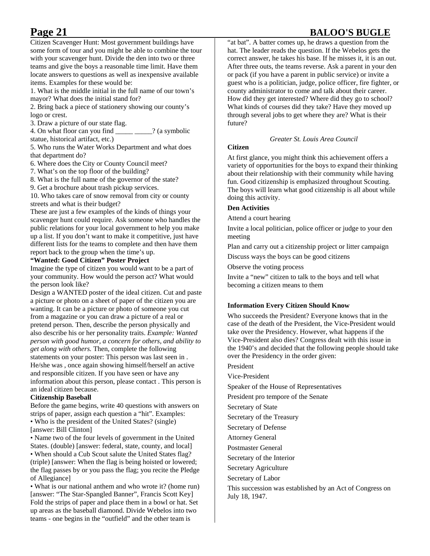Citizen Scavenger Hunt: Most government buildings have some form of tour and you might be able to combine the tour with your scavenger hunt. Divide the den into two or three teams and give the boys a reasonable time limit. Have them locate answers to questions as well as inexpensive available items. Examples for these would be:

1. What is the middle initial in the full name of our town's mayor? What does the initial stand for?

2. Bring back a piece of stationery showing our county's logo or crest.

3. Draw a picture of our state flag.

4. On what floor can you find \_\_\_\_\_\_\_\_\_\_? (a symbolic

statue, historical artifact, etc.)

5. Who runs the Water Works Department and what does that department do?

6. Where does the City or County Council meet?

7. What's on the top floor of the building?

8. What is the full name of the governor of the state?

9. Get a brochure about trash pickup services.

10. Who takes care of snow removal from city or county streets and what is their budget?

These are just a few examples of the kinds of things your scavenger hunt could require. Ask someone who handles the public relations for your local government to help you make up a list. If you don't want to make it competitive, just have different lists for the teams to complete and then have them report back to the group when the time's up.

#### **"Wanted: Good Citizen" Poster Project**

Imagine the type of citizen you would want to be a part of your community. How would the person act? What would the person look like?

Design a WANTED poster of the ideal citizen. Cut and paste a picture or photo on a sheet of paper of the citizen you are wanting. It can be a picture or photo of someone you cut from a magazine or you can draw a picture of a real or pretend person. Then, describe the person physically and also describe his or her personality traits. *Example: Wanted person with good humor, a concern for others, and ability to get along with others.* Then, complete the following statements on your poster: This person was last seen in . He/she was , once again showing himself/herself an active and responsible citizen. If you have seen or have any information about this person, please contact . This person is an ideal citizen because.

#### **Citizenship Baseball**

Before the game begins, write 40 questions with answers on strips of paper, assign each question a "hit". Examples:

• Who is the president of the United States? (single) [answer: Bill Clinton]

• Name two of the four levels of government in the United States. (double) [answer: federal, state, county, and local] • When should a Cub Scout salute the United States flag? (triple) [answer: When the flag is being hoisted or lowered; the flag passes by or you pass the flag; you recite the Pledge of Allegiance]

• What is our national anthem and who wrote it? (home run) [answer: "The Star-Spangled Banner", Francis Scott Key] Fold the strips of paper and place them in a bowl or hat. Set up areas as the baseball diamond. Divide Webelos into two teams - one begins in the "outfield" and the other team is

"at bat". A batter comes up, he draws a question from the hat. The leader reads the question. If the Webelos gets the correct answer, he takes his base. If he misses it, it is an out. After three outs, the teams reverse. Ask a parent in your den or pack (if you have a parent in public service) or invite a guest who is a politician, judge, police officer, fire fighter, or county administrator to come and talk about their career. How did they get interested? Where did they go to school? What kinds of courses did they take? Have they moved up through several jobs to get where they are? What is their future?

### *Greater St. Louis Area Council*

#### **Citizen**

At first glance, you might think this achievement offers a variety of opportunities for the boys to expand their thinking about their relationship with their community while having fun. Good citizenship is emphasized throughout Scouting. The boys will learn what good citizenship is all about while doing this activity.

#### **Den Activities**

Attend a court hearing

Invite a local politician, police officer or judge to your den meeting

Plan and carry out a citizenship project or litter campaign

Discuss ways the boys can be good citizens

Observe the voting process

Invite a "new" citizen to talk to the boys and tell what becoming a citizen means to them

#### **Information Every Citizen Should Know**

Who succeeds the President? Everyone knows that in the case of the death of the President, the Vice-President would take over the Presidency. However, what happens if the Vice-President also dies? Congress dealt with this issue in the 1940's and decided that the following people should take over the Presidency in the order given:

President

Vice-President

Speaker of the House of Representatives

President pro tempore of the Senate

Secretary of State

Secretary of the Treasury

Secretary of Defense

Attorney General

Postmaster General

Secretary of the Interior

Secretary Agriculture

Secretary of Labor

This succession was established by an Act of Congress on July 18, 1947.

## **Page 21** BALOO'S BUGLE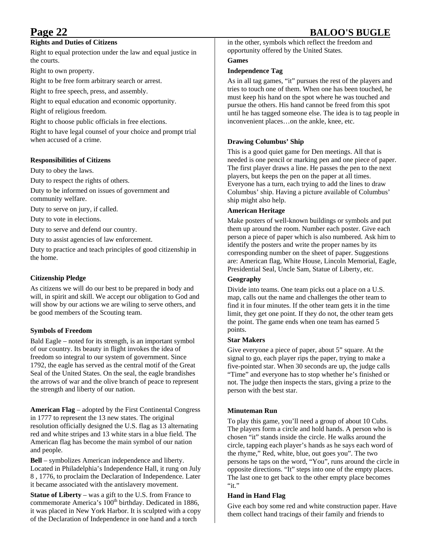### **Rights and Duties of Citizens**

Right to equal protection under the law and equal justice in the courts.

Right to own property.

Right to be free form arbitrary search or arrest.

Right to free speech, press, and assembly.

Right to equal education and economic opportunity.

Right of religious freedom.

Right to choose public officials in free elections.

Right to have legal counsel of your choice and prompt trial when accused of a crime.

### **Responsibilities of Citizens**

Duty to obey the laws.

Duty to respect the rights of others.

Duty to be informed on issues of government and community welfare.

Duty to serve on jury, if called.

Duty to vote in elections.

Duty to serve and defend our country.

Duty to assist agencies of law enforcement.

Duty to practice and teach principles of good citizenship in the home.

### **Citizenship Pledge**

As citizens we will do our best to be prepared in body and will, in spirit and skill. We accept our obligation to God and will show by our actions we are wiling to serve others, and be good members of the Scouting team.

### **Symbols of Freedom**

Bald Eagle – noted for its strength, is an important symbol of our country. Its beauty in flight invokes the idea of freedom so integral to our system of government. Since 1792, the eagle has served as the central motif of the Great Seal of the United States. On the seal, the eagle brandishes the arrows of war and the olive branch of peace to represent the strength and liberty of our nation.

**American Flag** – adopted by the First Continental Congress in 1777 to represent the 13 new states. The original resolution officially designed the U.S. flag as 13 alternating red and white stripes and 13 white stars in a blue field. The American flag has become the main symbol of our nation and people.

**Bell** – symbolizes American independence and liberty. Located in Philadelphia's Independence Hall, it rung on July 8 , 1776, to proclaim the Declaration of Independence. Later it became associated with the antislavery movement.

**Statue of Liberty** – was a gift to the U.S. from France to commemorate America's 100<sup>th</sup> birthday. Dedicated in 1886, it was placed in New York Harbor. It is sculpted with a copy of the Declaration of Independence in one hand and a torch

in the other, symbols which reflect the freedom and opportunity offered by the United States.

### **Games**

### **Independence Tag**

As in all tag games, "it" pursues the rest of the players and tries to touch one of them. When one has been touched, he must keep his hand on the spot where he was touched and pursue the others. His hand cannot be freed from this spot until he has tagged someone else. The idea is to tag people in inconvenient places…on the ankle, knee, etc.

### **Drawing Columbus' Ship**

This is a good quiet game for Den meetings. All that is needed is one pencil or marking pen and one piece of paper. The first player draws a line. He passes the pen to the next players, but keeps the pen on the paper at all times. Everyone has a turn, each trying to add the lines to draw Columbus' ship. Having a picture available of Columbus' ship might also help.

#### **American Heritage**

Make posters of well-known buildings or symbols and put them up around the room. Number each poster. Give each person a piece of paper which is also numbered. Ask him to identify the posters and write the proper names by its corresponding number on the sheet of paper. Suggestions are: American flag, White House, Lincoln Memorial, Eagle, Presidential Seal, Uncle Sam, Statue of Liberty, etc.

#### **Geography**

Divide into teams. One team picks out a place on a U.S. map, calls out the name and challenges the other team to find it in four minutes. If the other team gets it in the time limit, they get one point. If they do not, the other team gets the point. The game ends when one team has earned 5 points.

### **Star Makers**

Give everyone a piece of paper, about 5" square. At the signal to go, each player rips the paper, trying to make a five-pointed star. When 30 seconds are up, the judge calls "Time" and everyone has to stop whether he's finished or not. The judge then inspects the stars, giving a prize to the person with the best star.

### **Minuteman Run**

To play this game, you'll need a group of about 10 Cubs. The players form a circle and hold hands. A person who is chosen "it" stands inside the circle. He walks around the circle, tapping each player's hands as he says each word of the rhyme," Red, white, blue, out goes you". The two persons he taps on the word, "You", runs around the circle in opposite directions. "It" steps into one of the empty places. The last one to get back to the other empty place becomes "it."

### **Hand in Hand Flag**

Give each boy some red and white construction paper. Have them collect hand tracings of their family and friends to

## Page 22 BALOO'S BUGLE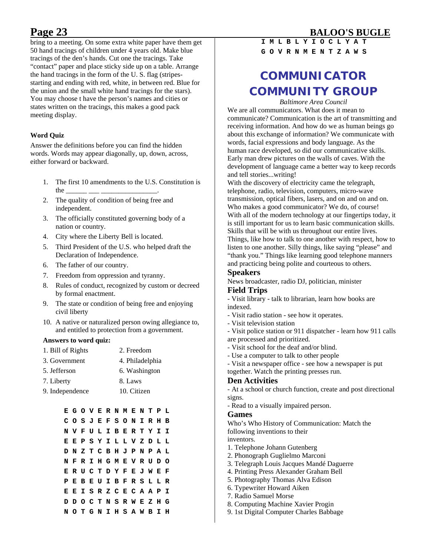#### bring to a meeting. On some extra white paper have them get 50 hand tracings of children under 4 years old. Make blue tracings of the den's hands. Cut one the tracings. Take "contact" paper and place sticky side up on a table. Arrange the hand tracings in the form of the U. S. flag (stripesstarting and ending with red, white, in between red. Blue for the union and the small white hand tracings for the stars). You may choose t have the person's names and cities or states written on the tracings, this makes a good pack meeting display.

#### **Word Quiz**

Answer the definitions before you can find the hidden words. Words may appear diagonally, up, down, across, either forward or backward.

- 1. The first 10 amendments to the U.S. Constitution is the
- 2. The quality of condition of being free and independent.
- 3. The officially constituted governing body of a nation or country.
- 4. City where the Liberty Bell is located.
- 5. Third President of the U.S. who helped draft the Declaration of Independence.
- 6. The father of our country.
- 7. Freedom from oppression and tyranny.
- 8. Rules of conduct, recognized by custom or decreed by formal enactment.
- 9. The state or condition of being free and enjoying civil liberty
- 10. A native or naturalized person owing allegiance to, and entitled to protection from a government.

#### **Answers to word quiz:**

| 1. Bill of Rights | 2. Freedom      |
|-------------------|-----------------|
| 3. Government     | 4. Philadelphia |
| 5. Jefferson      | 6. Washington   |
| 7. Liberty        | 8. Laws         |
| 9. Independence   | 10. Citizen     |

|  |  |  |  | E G O V E R N M E N T P L |  |  |
|--|--|--|--|---------------------------|--|--|
|  |  |  |  | COSJEFSONIRHB             |  |  |
|  |  |  |  | N V F U L I B E R T Y I I |  |  |
|  |  |  |  | E E P S Y I L L V Z D L L |  |  |
|  |  |  |  | D N Z T C B H J P N P A L |  |  |
|  |  |  |  | N F R I H G M E V R U D O |  |  |
|  |  |  |  | E R U C T D Y F E J W E F |  |  |
|  |  |  |  | PEBEUIBFRSLLR             |  |  |
|  |  |  |  | E E I S R Z C E C A A P I |  |  |
|  |  |  |  | D D O C T N S R W E Z H G |  |  |
|  |  |  |  | N O T G N I H S A W B I H |  |  |

## Page 23 BALOO'S BUGLE

### **I M L B L Y I O C L Y A T G O V R N M E N T Z A W S**

## **COMMUNICATOR COMMUNITY GROUP**

#### *Baltimore Area Council*

We are all communicators. What does it mean to communicate? Communication is the art of transmitting and receiving information. And how do we as human beings go about this exchange of information? We communicate with words, facial expressions and body language. As the human race developed, so did our communicative skills. Early man drew pictures on the walls of caves. With the development of language came a better way to keep records and tell stories...writing!

With the discovery of electricity came the telegraph, telephone, radio, television, computers, micro-wave transmission, optical fibers, lasers, and on and on and on. Who makes a good communicator? We do, of course! With all of the modern technology at our fingertips today, it is still important for us to learn basic communication skills. Skills that will be with us throughout our entire lives. Things, like how to talk to one another with respect, how to listen to one another. Silly things, like saying "please" and "thank you." Things like learning good telephone manners and practicing being polite and courteous to others.

### **Speakers**

News broadcaster, radio DJ, politician, minister **Field Trips** 

- Visit library - talk to librarian, learn how books are indexed.

- Visit radio station see how it operates.
- Visit television station
- Visit police station or 911 dispatcher learn how 911 calls are processed and prioritized.
- Visit school for the deaf and/or blind.
- Use a computer to talk to other people
- Visit a newspaper office see how a newspaper is put

together. Watch the printing presses run.

#### **Den Activities**

- At a school or church function, create and post directional signs.

- Read to a visually impaired person.

#### **Games**

Who's Who History of Communication: Match the following inventions to their

inventors.

- 1. Telephone Johann Gutenberg
- 2. Phonograph Guglielmo Marconi
- 3. Telegraph Louis Jacques Mandé Daguerre
- 4. Printing Press Alexander Graham Bell
- 5. Photography Thomas Alva Edison
- 6. Typewriter Howard Aiken
- 7. Radio Samuel Morse
- 8. Computing Machine Xavier Progin
- 9. 1st Digital Computer Charles Babbage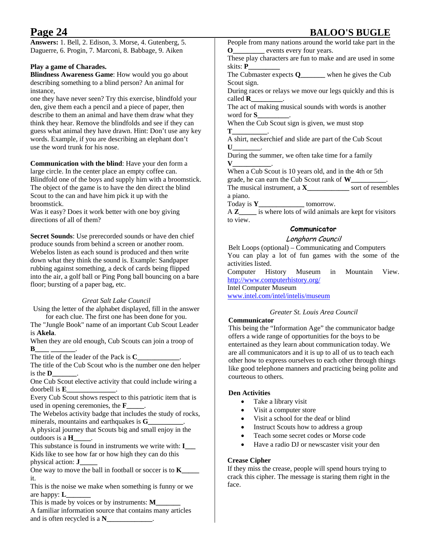**Answers:** 1. Bell, 2. Edison, 3. Morse, 4. Gutenberg, 5. Daguerre, 6. Progin, 7. Marconi, 8. Babbage, 9. Aiken

#### **Play a game of Charades.**

**Blindness Awareness Game**: How would you go about describing something to a blind person? An animal for instance,

one they have never seen? Try this exercise, blindfold your den, give them each a pencil and a piece of paper, then describe to them an animal and have them draw what they think they hear. Remove the blindfolds and see if they can guess what animal they have drawn. Hint: Don't use any key words. Example, if you are describing an elephant don't use the word trunk for his nose.

**Communication with the blind**: Have your den form a large circle. In the center place an empty coffee can. Blindfold one of the boys and supply him with a broomstick. The object of the game is to have the den direct the blind Scout to the can and have him pick it up with the broomstick.

Was it easy? Does it work better with one boy giving directions of all of them?

**Secret Sounds**: Use prerecorded sounds or have den chief produce sounds from behind a screen or another room. Webelos listen as each sound is produced and then write down what they think the sound is. Example: Sandpaper rubbing against something, a deck of cards being flipped into the air, a golf ball or Ping Pong ball bouncing on a bare floor; bursting of a paper bag, etc.

#### *Great Salt Lake Council*

Using the letter of the alphabet displayed, fill in the answer for each clue. The first one has been done for you.

The "Jungle Book" name of an important Cub Scout Leader is **Akela**.

When they are old enough, Cub Scouts can join a troop of **B** 

The title of the leader of the Pack is **C\_\_\_\_\_\_\_\_\_\_\_\_**.

The title of the Cub Scout who is the number one den helper is the **D\_\_\_\_\_\_\_**.

One Cub Scout elective activity that could include wiring a doorbell is **E\_\_\_\_\_\_\_\_\_\_\_\_\_\_**.

Every Cub Scout shows respect to this patriotic item that is used in opening ceremonies, the **F\_\_\_\_\_**.

The Webelos activity badge that includes the study of rocks, minerals, mountains and earthquakes is **G\_\_\_\_\_\_\_\_\_\_**.

A physical journey that Scouts big and small enjoy in the outdoors is a **H\_\_\_\_\_**.

This substance is found in instruments we write with: **I\_\_\_**  Kids like to see how far or how high they can do this physical action: **J\_\_\_\_\_**

One way to move the ball in football or soccer is to **K\_\_\_\_** it.

This is the noise we make when something is funny or we are happy: **L\_\_\_\_\_\_\_**

This is made by voices or by instruments: **M\_\_\_\_\_\_\_**

A familiar information source that contains many articles and is often recycled is a **N**  $\qquad \qquad$ .

**Page 24** BALOO'S BUGLE

People from many nations around the world take part in the **O\_\_\_\_\_\_\_\_\_** events every four years. These play characters are fun to make and are used in some skits: **P\_\_\_\_\_\_\_\_\_** The Cubmaster expects **Q\_\_\_\_\_\_\_** when he gives the Cub Scout sign. During races or relays we move our legs quickly and this is called **R\_\_\_\_\_\_\_\_\_**. The act of making musical sounds with words is another word for **S\_\_\_\_\_\_\_\_\_**. When the Cub Scout sign is given, we must stop  $\mathbf{T}$ A shirt, neckerchief and slide are part of the Cub Scout  $\mathbf U_-$ During the summer, we often take time for a family  ${\bf V}$ When a Cub Scout is 10 years old, and in the 4th or 5th grade, he can earn the Cub Scout rank of **W\_\_\_\_\_\_\_\_\_\_**. The musical instrument, a **X\_\_\_\_\_\_\_\_\_\_\_\_** sort of resembles a piano.

Today is **Y\_\_\_\_\_\_\_\_\_\_\_\_\_** tomorrow.

A **Z\_\_\_\_\_** is where lots of wild animals are kept for visitors to view.

#### **Communicator**

#### Longhorn Council

Belt Loops (optional) – Communicating and Computers You can play a lot of fun games with the some of the activities listed.

Computer History Museum in Mountain View. <http://www.computerhistory.org/> Intel Computer Museum

[www.intel.com/intel/intelis/museum](http://www.intel.com/intel/intelis/museum)

#### *Greater St. Louis Area Council*

#### **Communicator**

This being the "Information Age" the communicator badge offers a wide range of opportunities for the boys to be entertained as they learn about communication today. We are all communicators and it is up to all of us to teach each other how to express ourselves to each other through things like good telephone manners and practicing being polite and courteous to others.

#### **Den Activities**

- Take a library visit
- Visit a computer store
- Visit a school for the deaf or blind
- Instruct Scouts how to address a group
- Teach some secret codes or Morse code
- Have a radio DJ or newscaster visit your den

#### **Crease Cipher**

If they miss the crease, people will spend hours trying to crack this cipher. The message is staring them right in the face.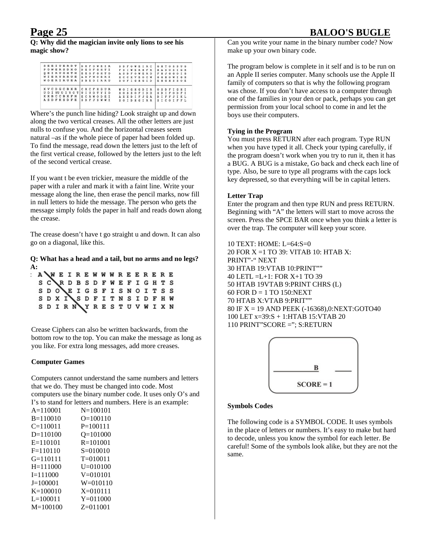**Q: Why did the magician invite only lions to see his magic show?** 

|  |  |                  |  | SEEIUERDT          |  |  | <b>DKFOWEIR</b> |  |  |  | SDFOWEIRC        |  |  |          |  | <b>GHTOSSUG</b> |  |  |
|--|--|------------------|--|--------------------|--|--|-----------------|--|--|--|------------------|--|--|----------|--|-----------------|--|--|
|  |  | <b>POWERSDXO</b> |  |                    |  |  | <b>DEOFGHTI</b> |  |  |  | FSIWERHFR        |  |  |          |  | <b>HASOSIGH</b> |  |  |
|  |  | <b>QEIRUGHTH</b> |  |                    |  |  | EEOFGHTO        |  |  |  | <b>ASDFOWERO</b> |  |  |          |  | <b>FHJGGOIG</b> |  |  |
|  |  | WIERYRRUE        |  |                    |  |  | <b>ADFWOERI</b> |  |  |  | <b>XCCXVEOCW</b> |  |  |          |  | <b>GGHOWIGH</b> |  |  |
|  |  | WOERIRUEA        |  |                    |  |  | SREOIRRU        |  |  |  | SOFIGHGID        |  |  |          |  | EHGHSSOE        |  |  |
|  |  |                  |  | XVCDGCBXR CRCFHGUR |  |  |                 |  |  |  | WOIGHGDIR        |  |  |          |  | OSDFIGHT        |  |  |
|  |  |                  |  | UOIYUUIYOTUIUOTYIO |  |  |                 |  |  |  | <b>SOSSOFIDO</b> |  |  |          |  | SDIFODFI        |  |  |
|  |  |                  |  | XXBCCBXFH          |  |  | ECRWODEI        |  |  |  | <b>AXXDIFJGA</b> |  |  | DIFFJIKL |  |                 |  |  |
|  |  |                  |  | ASDFKSDFE          |  |  | SDFJSWWI        |  |  |  | SOIDHGIRR        |  |  |          |  | <b>SICOIFFL</b> |  |  |
|  |  |                  |  |                    |  |  |                 |  |  |  |                  |  |  |          |  |                 |  |  |

Where's the punch line hiding? Look straight up and down along the two vertical creases. All the other letters are just nulls to confuse you. And the horizontal creases seem natural –as if the whole piece of paper had been folded up. To find the message, read down the letters just to the left of the first vertical crease, followed by the letters just to the left of the second vertical crease.

If you want t be even trickier, measure the middle of the paper with a ruler and mark it with a faint line. Write your message along the line, then erase the pencil marks, now fill in null letters to hide the message. The person who gets the message simply folds the paper in half and reads down along the crease.

The crease doesn't have t go straight u and down. It can also go on a diagonal, like this.

#### **Q: What has a head and a tail, but no arms and no legs? A:**

|  |  | A WEIREWWWREERERE                                        |  |  |  |  |  |  |
|--|--|----------------------------------------------------------|--|--|--|--|--|--|
|  |  | SCRDBSDFWEFIGHTS<br>SDORIGSFISNOITSS<br>SDXISDFITNSIDFHW |  |  |  |  |  |  |
|  |  |                                                          |  |  |  |  |  |  |
|  |  |                                                          |  |  |  |  |  |  |
|  |  | SDIRN YRESTUVWIXN                                        |  |  |  |  |  |  |

Crease Ciphers can also be written backwards, from the bottom row to the top. You can make the message as long as you like. For extra long messages, add more creases.

#### **Computer Games**

 $\ddot{\cdot}$ 

Computers cannot understand the same numbers and letters that we do. They must be changed into code. Most computers use the binary number code. It uses only O's and I's to stand for letters and numbers. Here is an example:

| $A=110001$   | $N = 100101$ |
|--------------|--------------|
| $B=110010$   | O=100110     |
| $C = 110011$ | $P=100111$   |
| $D=110100$   | $Q=101000$   |
| $E=110101$   | $R = 101001$ |
| $F=110110$   | $S = 010010$ |
| $G=110111$   | $T = 010011$ |
| $H = 111000$ | $U=010100$   |
| $I = 111000$ | $V = 010101$ |
| $J=100001$   | $W=010110$   |
| $K = 100010$ | $X=010111$   |
| $L = 100011$ | $Y = 011000$ |
| $M = 100100$ | $Z = 011001$ |

Can you write your name in the binary number code? Now make up your own binary code.

The program below is complete in it self and is to be run on an Apple II series computer. Many schools use the Apple II family of computers so that is why the following program was chose. If you don't have access to a computer through one of the families in your den or pack, perhaps you can get permission from your local school to come in and let the boys use their computers.

#### **Tying in the Program**

You must press RETURN after each program. Type RUN when you have typed it all. Check your typing carefully, if the program doesn't work when you try to run it, then it has a BUG. A BUG is a mistake, Go back and check each line of type. Also, be sure to type all programs with the caps lock key depressed, so that everything will be in capital letters.

#### **Letter Trap**

Enter the program and then type RUN and press RETURN. Beginning with "A" the letters will start to move across the screen. Press the SPCE BAR once when you think a letter is over the trap. The computer will keep your score.

10 TEXT: HOME: L=64:S=0 20 FOR X =1 TO 39: VITAB 10: HTAB X: PRINT"-" NEXT 30 HTAB 19:VTAB 10:PRINT"" 40 LETL =L+1: FOR X+1 TO 39 50 HTAB 19VTAB 9:PRINT CHRS (L)  $60$  FOR  $D = 1$  TO 150:NEXT 70 HTAB X:VTAB 9:PRIT"" 80 IF X = 19 AND PEEK (-16368),0:NEXT:GOTO40 100 LET x=39:S + 1:HTAB 15:VTAB 20 110 PRINT"SCORE ="; S:RETURN



#### **Symbols Codes**

The following code is a SYMBOL CODE. It uses symbols in the place of letters or numbers. It's easy to make but hard to decode, unless you know the symbol for each letter. Be careful! Some of the symbols look alike, but they are not the same.

## **Page 25 BALOO'S BUGLE**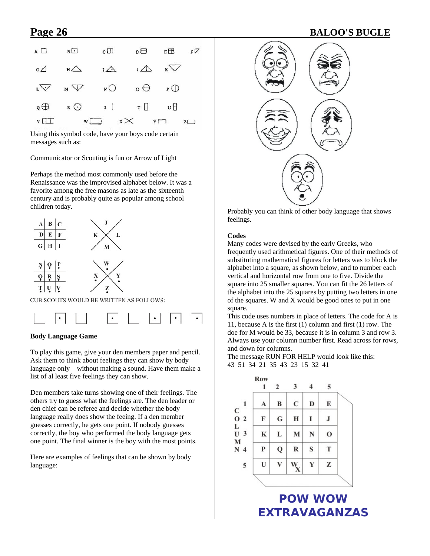| $A$ $\Box$ | B                   | $c \Box$            | $\boxminus$ a                   | $E \oplus F$                |          |
|------------|---------------------|---------------------|---------------------------------|-----------------------------|----------|
| $G\Delta$  | н $\triangle$       | $\sum$              | $\Delta$                        | $\kappa$ $\bigtriangledown$ |          |
| ιV         | $M \triangleleft V$ | $\bigcirc$ N        | $\circ \Theta$ $\bullet$ $\Phi$ |                             |          |
| Q⊕         |                     | $R$ $\odot$ $S$ $T$ |                                 | $\cup$ $\Box$               |          |
| $v$ $(TT)$ |                     | $W \Box$            | $x \times$                      | $Y\Box$                     | $2 \cup$ |

Using this symbol code, have your boys code certain messages such as:

Communicator or Scouting is fun or Arrow of Light

Perhaps the method most commonly used before the Renaissance was the improvised alphabet below. It was a favorite among the free masons as late as the sixteenth century and is probably quite as popular among school children today.



CUB SCOUTS WOULD BE WRITTEN AS FOLLOWS:



#### **Body Language Game**

To play this game, give your den members paper and pencil. Ask them to think about feelings they can show by body language only—without making a sound. Have them make a list of al least five feelings they can show.

Den members take turns showing one of their feelings. The others try to guess what the feelings are. The den leader or den chief can be referee and decide whether the body language really does show the feeing. If a den member guesses correctly, he gets one point. If nobody guesses correctly, the boy who performed the body language gets one point. The final winner is the boy with the most points.

Here are examples of feelings that can be shown by body language:

## **Page 26** BALOO'S BUGLE



Probably you can think of other body language that shows feelings.

#### **Codes**

Many codes were devised by the early Greeks, who frequently used arithmetical figures. One of their methods of substituting mathematical figures for letters was to block the alphabet into a square, as shown below, and to number each vertical and horizontal row from one to five. Divide the square into 25 smaller squares. You can fit the 26 letters of the alphabet into the 25 squares by putting two letters in one of the squares. W and X would be good ones to put in one square.

This code uses numbers in place of letters. The code for A is 11, because A is the first (1) column and first (1) row. The doe for M would be 33, because it is in column 3 and row 3. Always use your column number first. Read across for rows, and down for columns.

The message RUN FOR HELP would look like this: 43 51 34 21 35 43 23 15 32 41

| 1         | $\overline{2}$ | 3           | $\overline{\mathbf{4}}$ | 5         |
|-----------|----------------|-------------|-------------------------|-----------|
| A         | $\, {\bf B}$   | $\mathbf C$ | $\mathbf D$             | E         |
| F         | G              | $\bf H$     | 1                       | ${\bf J}$ |
| K         | L              | M           | N                       | 0         |
| ${\bf P}$ | Q              | $\mathbf R$ | S                       | T         |
| U         | V              |             | Y                       | Z         |

**POW WOW EXTRAVAGANZAS**